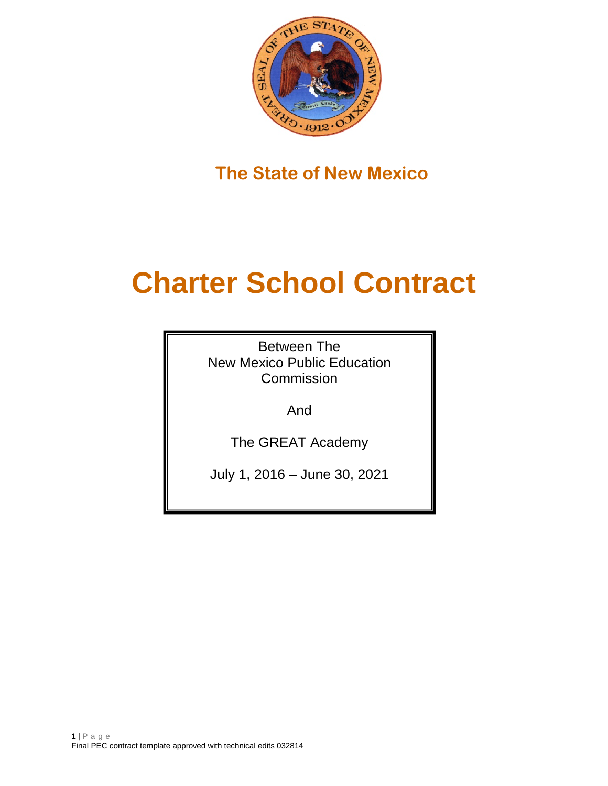

**The State of New Mexico**

# **Charter School Contract**

Between The New Mexico Public Education Commission

And

The GREAT Academy

July 1, 2016 – June 30, 2021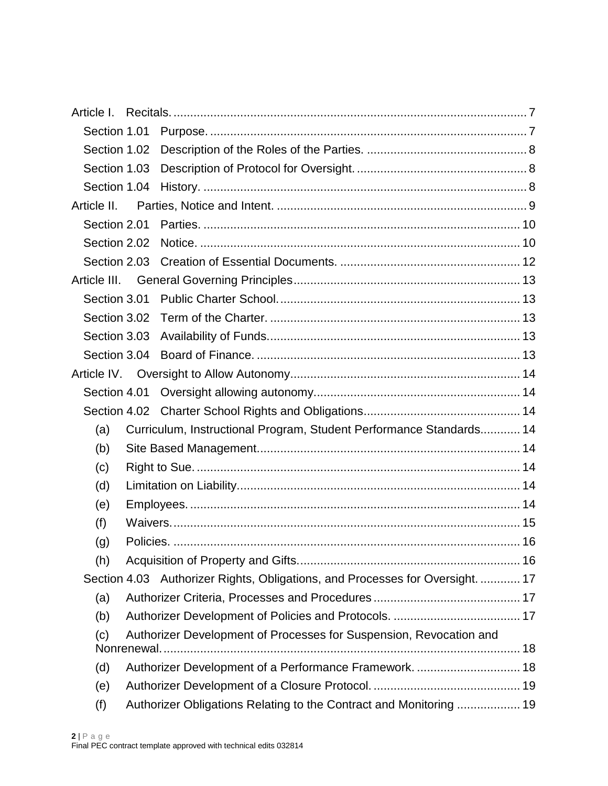| Article I.   |                                                                               |  |
|--------------|-------------------------------------------------------------------------------|--|
| Section 1.01 |                                                                               |  |
| Section 1.02 |                                                                               |  |
| Section 1.03 |                                                                               |  |
| Section 1.04 |                                                                               |  |
| Article II.  |                                                                               |  |
| Section 2.01 |                                                                               |  |
| Section 2.02 |                                                                               |  |
| Section 2.03 |                                                                               |  |
| Article III. |                                                                               |  |
| Section 3.01 |                                                                               |  |
| Section 3.02 |                                                                               |  |
| Section 3.03 |                                                                               |  |
| Section 3.04 |                                                                               |  |
| Article IV.  |                                                                               |  |
| Section 4.01 |                                                                               |  |
|              |                                                                               |  |
| (a)          | Curriculum, Instructional Program, Student Performance Standards 14           |  |
| (b)          |                                                                               |  |
| (c)          |                                                                               |  |
| (d)          |                                                                               |  |
| (e)          |                                                                               |  |
| (f)          |                                                                               |  |
| (g)          |                                                                               |  |
| (h)          |                                                                               |  |
|              | Section 4.03 Authorizer Rights, Obligations, and Processes for Oversight.  17 |  |
| (a)          |                                                                               |  |
| (b)          |                                                                               |  |
| (c)          | Authorizer Development of Processes for Suspension, Revocation and            |  |
| (d)          | Authorizer Development of a Performance Framework.  18                        |  |
| (e)          |                                                                               |  |
| (f)          | Authorizer Obligations Relating to the Contract and Monitoring  19            |  |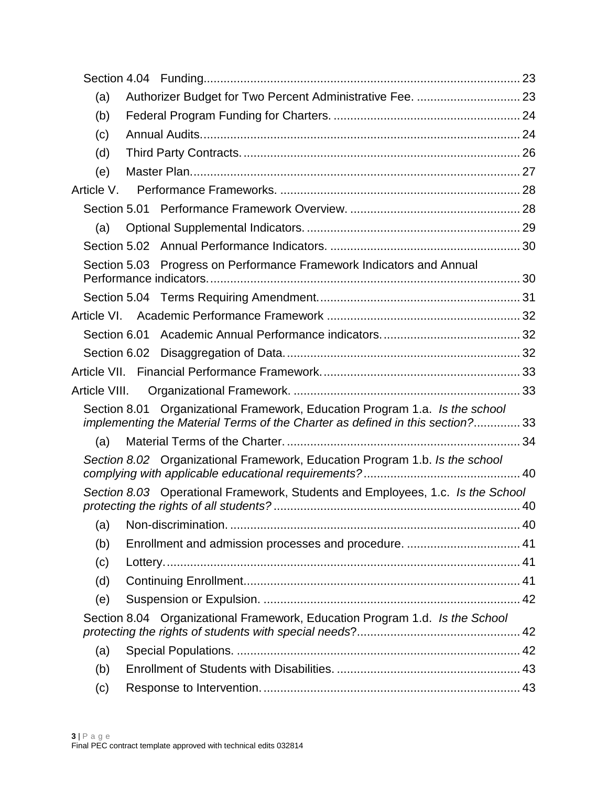| (a)          |                                                                                                                                                              |    |
|--------------|--------------------------------------------------------------------------------------------------------------------------------------------------------------|----|
| (b)          |                                                                                                                                                              |    |
| (c)          |                                                                                                                                                              |    |
| (d)          |                                                                                                                                                              |    |
| (e)          |                                                                                                                                                              |    |
| Article V.   |                                                                                                                                                              |    |
| Section 5.01 |                                                                                                                                                              |    |
| (a)          |                                                                                                                                                              |    |
|              |                                                                                                                                                              |    |
|              | Section 5.03 Progress on Performance Framework Indicators and Annual                                                                                         |    |
|              |                                                                                                                                                              |    |
|              |                                                                                                                                                              |    |
|              |                                                                                                                                                              |    |
| Section 6.01 |                                                                                                                                                              |    |
| Section 6.02 |                                                                                                                                                              |    |
|              |                                                                                                                                                              |    |
|              |                                                                                                                                                              |    |
|              | Section 8.01 Organizational Framework, Education Program 1.a. Is the school<br>implementing the Material Terms of the Charter as defined in this section? 33 |    |
| (a)          |                                                                                                                                                              |    |
|              | Section 8.02 Organizational Framework, Education Program 1.b. Is the school                                                                                  |    |
|              | Section 8.03 Operational Framework, Students and Employees, 1.c. Is the School                                                                               |    |
|              |                                                                                                                                                              |    |
| (a)          |                                                                                                                                                              |    |
| (b)          |                                                                                                                                                              |    |
| (c)          |                                                                                                                                                              |    |
| (d)          |                                                                                                                                                              |    |
| (e)          |                                                                                                                                                              |    |
|              | Section 8.04 Organizational Framework, Education Program 1.d. Is the School                                                                                  | 42 |
| (a)          |                                                                                                                                                              |    |
| (b)          |                                                                                                                                                              |    |
| (c)          |                                                                                                                                                              |    |
|              |                                                                                                                                                              |    |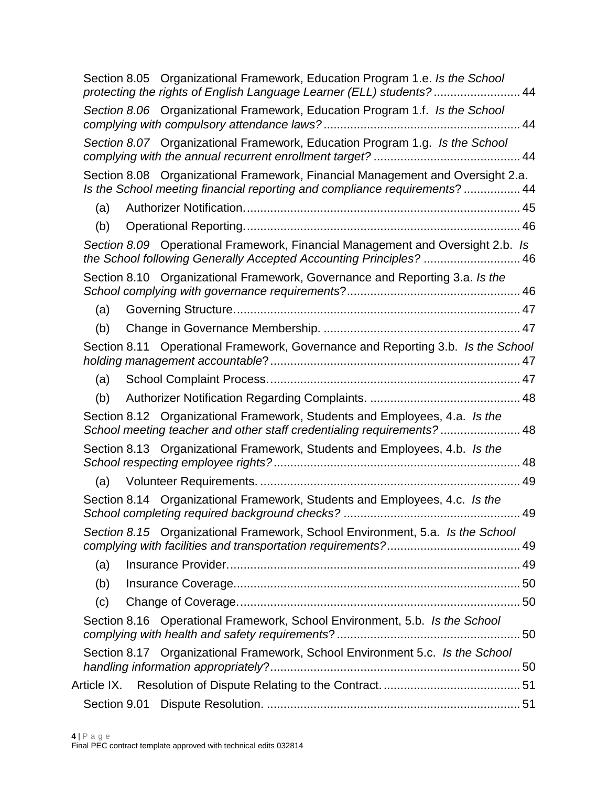|     | Section 8.05 Organizational Framework, Education Program 1.e. Is the School<br>protecting the rights of English Language Learner (ELL) students? 44          |    |
|-----|--------------------------------------------------------------------------------------------------------------------------------------------------------------|----|
|     | Section 8.06 Organizational Framework, Education Program 1.f. Is the School                                                                                  |    |
|     | Section 8.07 Organizational Framework, Education Program 1.g. Is the School                                                                                  |    |
|     | Section 8.08 Organizational Framework, Financial Management and Oversight 2.a.<br>Is the School meeting financial reporting and compliance requirements?  44 |    |
| (a) |                                                                                                                                                              |    |
| (b) |                                                                                                                                                              |    |
|     | Section 8.09 Operational Framework, Financial Management and Oversight 2.b. Is<br>the School following Generally Accepted Accounting Principles?  46         |    |
|     | Section 8.10 Organizational Framework, Governance and Reporting 3.a. Is the                                                                                  |    |
| (a) |                                                                                                                                                              |    |
| (b) |                                                                                                                                                              |    |
|     | Section 8.11 Operational Framework, Governance and Reporting 3.b. Is the School                                                                              |    |
| (a) |                                                                                                                                                              |    |
| (b) |                                                                                                                                                              |    |
|     | Section 8.12 Organizational Framework, Students and Employees, 4.a. Is the<br>School meeting teacher and other staff credentialing requirements? 48          |    |
|     | Section 8.13 Organizational Framework, Students and Employees, 4.b. Is the                                                                                   |    |
| (a) |                                                                                                                                                              |    |
|     | Section 8.14 Organizational Framework, Students and Employees, 4.c. Is the                                                                                   | 49 |
|     | Section 8.15 Organizational Framework, School Environment, 5.a. Is the School                                                                                | 49 |
| (a) |                                                                                                                                                              |    |
| (b) |                                                                                                                                                              |    |
| (c) |                                                                                                                                                              |    |
|     | Section 8.16 Operational Framework, School Environment, 5.b. Is the School                                                                                   |    |
|     | Section 8.17 Organizational Framework, School Environment 5.c. Is the School                                                                                 |    |
|     |                                                                                                                                                              |    |
|     |                                                                                                                                                              |    |
|     |                                                                                                                                                              |    |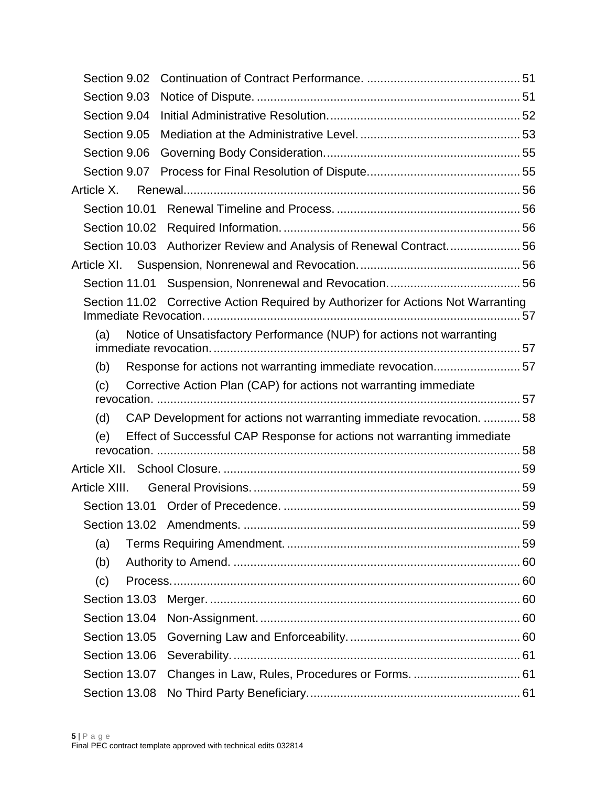| Section 9.03<br>Section 9.04                                                      |  |
|-----------------------------------------------------------------------------------|--|
|                                                                                   |  |
|                                                                                   |  |
| Section 9.05                                                                      |  |
| Section 9.06                                                                      |  |
| Section 9.07                                                                      |  |
| Article X.                                                                        |  |
| Section 10.01                                                                     |  |
|                                                                                   |  |
| Section 10.03 Authorizer Review and Analysis of Renewal Contract56                |  |
|                                                                                   |  |
|                                                                                   |  |
| Section 11.02 Corrective Action Required by Authorizer for Actions Not Warranting |  |
| Notice of Unsatisfactory Performance (NUP) for actions not warranting<br>(a)      |  |
| Response for actions not warranting immediate revocation57<br>(b)                 |  |
| Corrective Action Plan (CAP) for actions not warranting immediate<br>(c)          |  |
|                                                                                   |  |
| CAP Development for actions not warranting immediate revocation. 58<br>(d)        |  |
| Effect of Successful CAP Response for actions not warranting immediate<br>(e)     |  |
|                                                                                   |  |
| Article XIII.                                                                     |  |
|                                                                                   |  |
|                                                                                   |  |
| (a)                                                                               |  |
| (b)                                                                               |  |
| (c)                                                                               |  |
| Section 13.03                                                                     |  |
|                                                                                   |  |
|                                                                                   |  |
| Section 13.06                                                                     |  |
| Section 13.07                                                                     |  |
| Section 13.08                                                                     |  |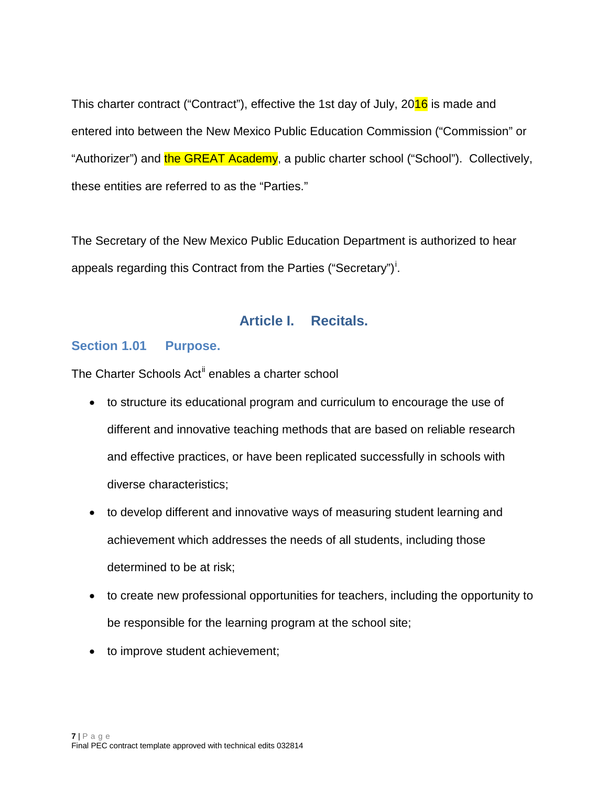This charter contract ("Contract"), effective the 1st day of July, 2016 is made and entered into between the New Mexico Public Education Commission ("Commission" or "Authorizer") and the GREAT Academy, a public charter school ("School"). Collectively, these entities are referred to as the "Parties."

The Secretary of the New Mexico Public Education Department is authorized to hear appeals regard[i](#page-61-2)ng this Contract from the Parties ("Secretary")<sup>i</sup>.

# **Article I. Recitals.**

### <span id="page-6-1"></span><span id="page-6-0"></span>**Section 1.01 Purpose.**

The Charter Schools Act<sup>[ii](#page-61-3)</sup> enables a charter school

- to structure its educational program and curriculum to encourage the use of different and innovative teaching methods that are based on reliable research and effective practices, or have been replicated successfully in schools with diverse characteristics;
- to develop different and innovative ways of measuring student learning and achievement which addresses the needs of all students, including those determined to be at risk;
- to create new professional opportunities for teachers, including the opportunity to be responsible for the learning program at the school site;
- to improve student achievement;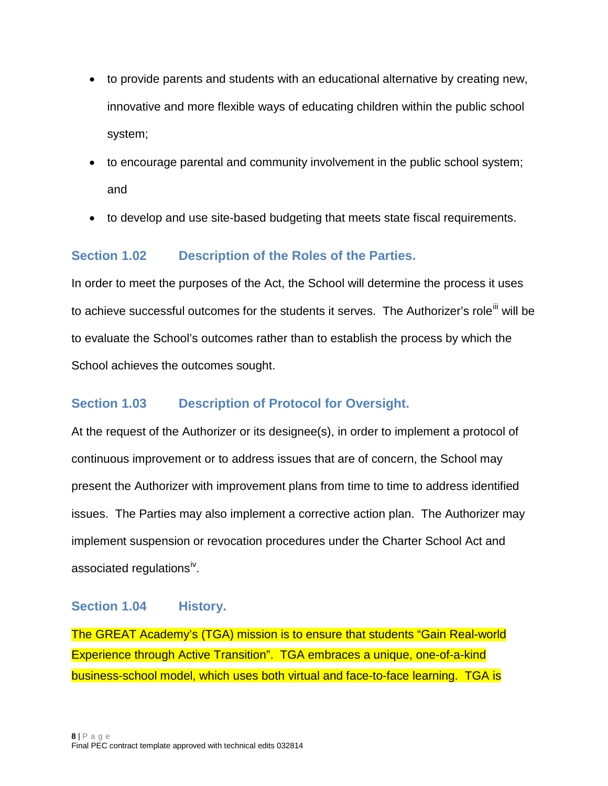- to provide parents and students with an educational alternative by creating new, innovative and more flexible ways of educating children within the public school system;
- to encourage parental and community involvement in the public school system; and
- to develop and use site-based budgeting that meets state fiscal requirements.

# <span id="page-7-0"></span>**Section 1.02 Description of the Roles of the Parties.**

In order to meet the purposes of the Act, the School will determine the process it uses to achieve successful outcomes for the students it serves. The Authorizer's role<sup>[iii](#page-61-4)</sup> will be to evaluate the School's outcomes rather than to establish the process by which the School achieves the outcomes sought.

# <span id="page-7-1"></span>**Section 1.03 Description of Protocol for Oversight.**

At the request of the Authorizer or its designee(s), in order to implement a protocol of continuous improvement or to address issues that are of concern, the School may present the Authorizer with improvement plans from time to time to address identified issues. The Parties may also implement a corrective action plan. The Authorizer may implement suspension or revocation procedures under the Charter School Act and associated regulations<sup>iv</sup>.

### <span id="page-7-2"></span>**Section 1.04 History.**

The GREAT Academy's (TGA) mission is to ensure that students "Gain Real-world Experience through Active Transition". TGA embraces a unique, one-of-a-kind business-school model, which uses both virtual and face-to-face learning. TGA is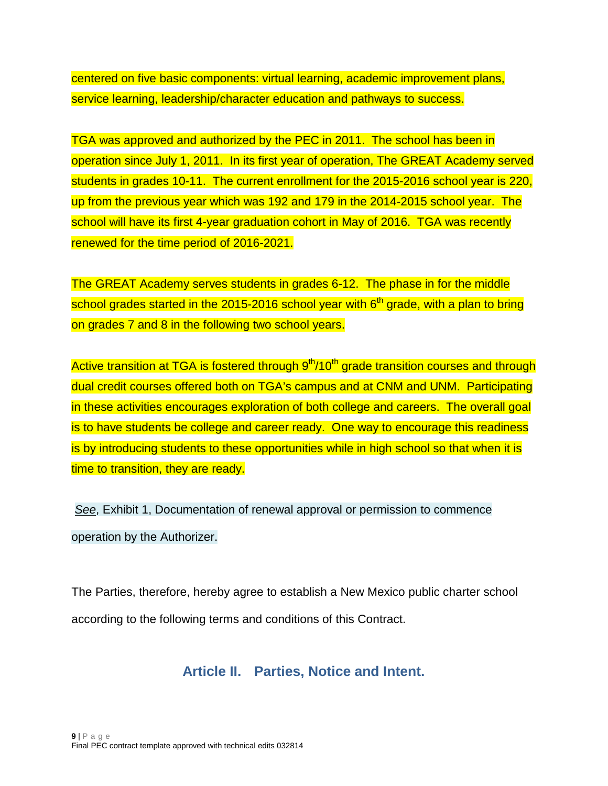centered on five basic components: virtual learning, academic improvement plans, service learning, leadership/character education and pathways to success.

TGA was approved and authorized by the PEC in 2011. The school has been in operation since July 1, 2011. In its first year of operation, The GREAT Academy served students in grades 10-11. The current enrollment for the 2015-2016 school year is 220, up from the previous year which was 192 and 179 in the 2014-2015 school year. The school will have its first 4-year graduation cohort in May of 2016. TGA was recently renewed for the time period of 2016-2021.

The GREAT Academy serves students in grades 6-12. The phase in for the middle school grades started in the 2015-2016 school year with  $6<sup>th</sup>$  grade, with a plan to bring on grades 7 and 8 in the following two school years.

Active transition at TGA is fostered through 9<sup>th</sup>/10<sup>th</sup> grade transition courses and through dual credit courses offered both on TGA's campus and at CNM and UNM. Participating in these activities encourages exploration of both college and careers. The overall goal is to have students be college and career ready. One way to encourage this readiness is by introducing students to these opportunities while in high school so that when it is time to transition, they are ready.

*See*, Exhibit 1, Documentation of renewal approval or permission to commence operation by the Authorizer.

<span id="page-8-0"></span>The Parties, therefore, hereby agree to establish a New Mexico public charter school according to the following terms and conditions of this Contract.

**Article II. Parties, Notice and Intent.**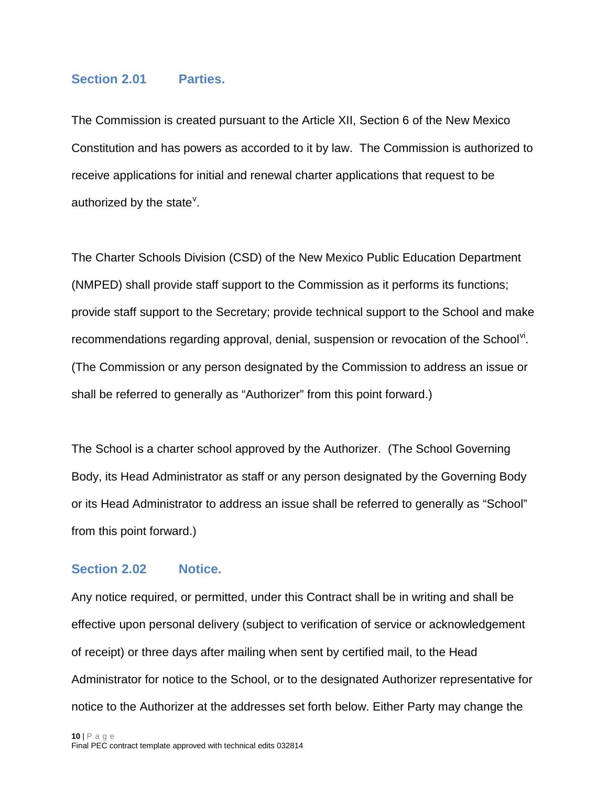#### <span id="page-9-0"></span>**Section 2.01 Parties.**

The Commission is created pursuant to the Article XII, Section 6 of the New Mexico Constitution and has powers as accorded to it by law. The Commission is authorized to receive applications for initial and renewal charter applications that request to be authorized by the state $^{\vee}$  $^{\vee}$  $^{\vee}$ .

The Charter Schools Division (CSD) of the New Mexico Public Education Department (NMPED) shall provide staff support to the Commission as it performs its functions; provide staff support to the Secretary; provide technical support to the School and make recommendations regarding approval, denial, suspension or revocation of the School<sup>[vi](#page-62-2)</sup>. (The Commission or any person designated by the Commission to address an issue or shall be referred to generally as "Authorizer" from this point forward.)

The School is a charter school approved by the Authorizer. (The School Governing Body, its Head Administrator as staff or any person designated by the Governing Body or its Head Administrator to address an issue shall be referred to generally as "School" from this point forward.)

### <span id="page-9-1"></span>**Section 2.02 Notice.**

Any notice required, or permitted, under this Contract shall be in writing and shall be effective upon personal delivery (subject to verification of service or acknowledgement of receipt) or three days after mailing when sent by certified mail, to the Head Administrator for notice to the School, or to the designated Authorizer representative for notice to the Authorizer at the addresses set forth below. Either Party may change the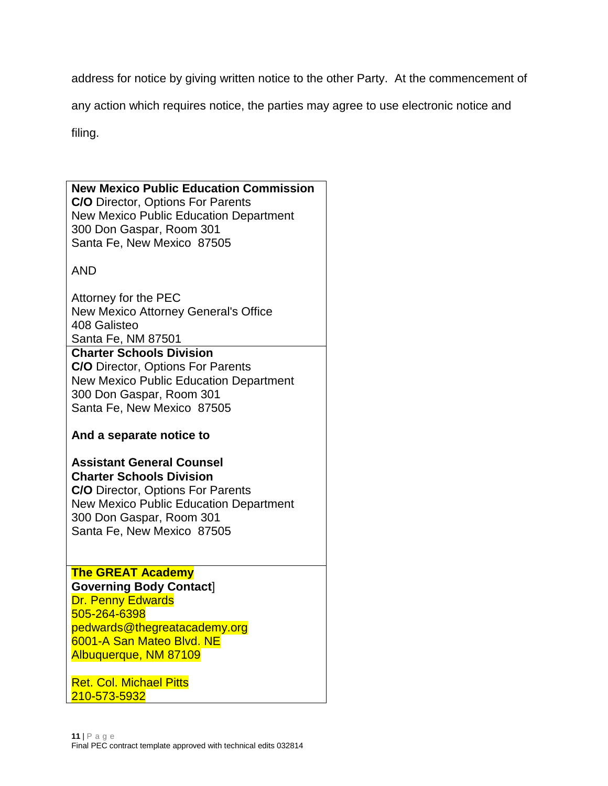address for notice by giving written notice to the other Party. At the commencement of

any action which requires notice, the parties may agree to use electronic notice and

filing.

| <b>New Mexico Public Education Commission</b><br><b>C/O</b> Director, Options For Parents<br><b>New Mexico Public Education Department</b><br>300 Don Gaspar, Room 301<br>Santa Fe, New Mexico 87505<br><b>AND</b>                 |  |
|------------------------------------------------------------------------------------------------------------------------------------------------------------------------------------------------------------------------------------|--|
| Attorney for the PEC<br>New Mexico Attorney General's Office<br>408 Galisteo<br>Santa Fe, NM 87501<br><b>Charter Schools Division</b><br><b>C/O</b> Director, Options For Parents<br><b>New Mexico Public Education Department</b> |  |
| 300 Don Gaspar, Room 301<br>Santa Fe, New Mexico 87505<br>And a separate notice to<br><b>Assistant General Counsel</b>                                                                                                             |  |
| <b>Charter Schools Division</b><br><b>C/O</b> Director, Options For Parents<br><b>New Mexico Public Education Department</b><br>300 Don Gaspar, Room 301<br>Santa Fe, New Mexico 87505                                             |  |
| <b>The GREAT Academy</b><br><b>Governing Body Contact]</b><br><b>Dr. Penny Edwards</b><br>505-264-6398<br>pedwards@thegreatacademy.org<br>6001-A San Mateo Blvd. NE<br>Albuquerque, NM 87109                                       |  |
| <b>Ret. Col. Michael Pitts</b><br>210-573-5932                                                                                                                                                                                     |  |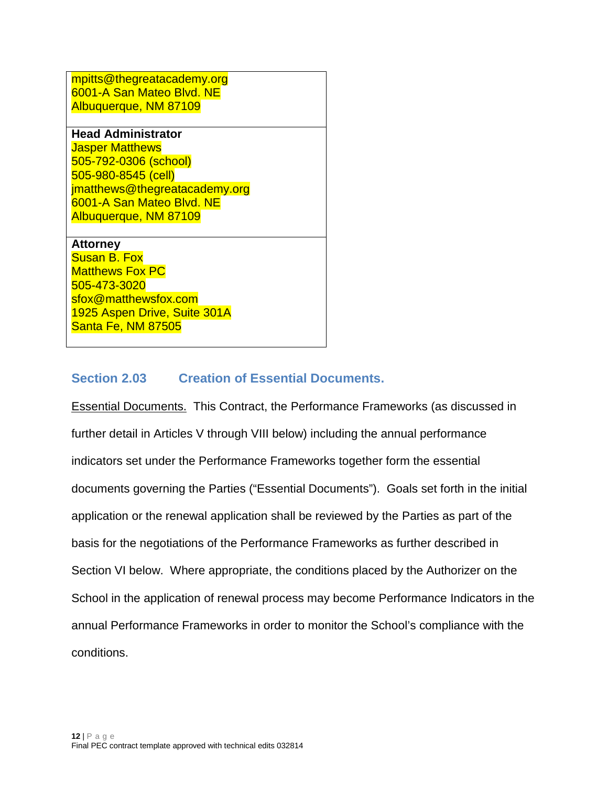mpitts@thegreatacademy.org 6001-A San Mateo Blvd. NE Albuquerque, NM 87109

**Head Administrator** Jasper Matthews 505-792-0306 (school) 505-980-8545 (cell) jmatthews@thegreatacademy.org 6001-A San Mateo Blvd. NE Albuquerque, NM 87109

#### **Attorney**

Susan B. Fox **Matthews Fox PC** 505-473-3020 sfox@matthewsfox.com 1925 Aspen Drive, Suite 301A Santa Fe, NM 87505

### <span id="page-11-0"></span>**Section 2.03 Creation of Essential Documents.**

Essential Documents. This Contract, the Performance Frameworks (as discussed in further detail in Articles V through VIII below) including the annual performance indicators set under the Performance Frameworks together form the essential documents governing the Parties ("Essential Documents"). Goals set forth in the initial application or the renewal application shall be reviewed by the Parties as part of the basis for the negotiations of the Performance Frameworks as further described in Section VI below. Where appropriate, the conditions placed by the Authorizer on the School in the application of renewal process may become Performance Indicators in the annual Performance Frameworks in order to monitor the School's compliance with the conditions.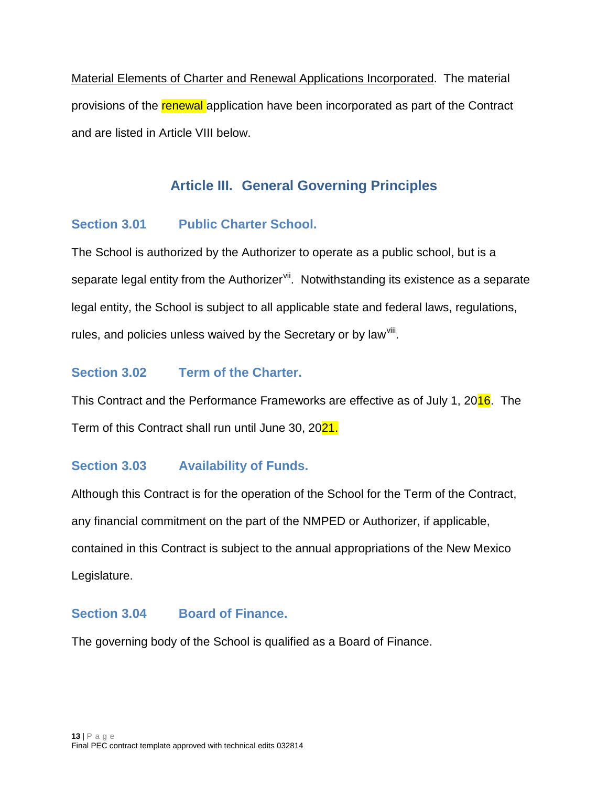Material Elements of Charter and Renewal Applications Incorporated. The material provisions of the renewal application have been incorporated as part of the Contract and are listed in Article VIII below.

# **Article III. General Governing Principles**

### <span id="page-12-1"></span><span id="page-12-0"></span>**Section 3.01 Public Charter School.**

The School is authorized by the Authorizer to operate as a public school, but is a separate legal entity from the Authorizer<sup>vii</sup>. Notwithstanding its existence as a separate legal entity, the School is subject to all applicable state and federal laws, regulations, rules, and policies unless waived by the Secretary or by law<sup>viii</sup>.

# <span id="page-12-2"></span>**Section 3.02 Term of the Charter.**

This Contract and the Performance Frameworks are effective as of July 1, 2016. The Term of this Contract shall run until June 30, 2021.

# <span id="page-12-3"></span>**Section 3.03 Availability of Funds.**

Although this Contract is for the operation of the School for the Term of the Contract, any financial commitment on the part of the NMPED or Authorizer, if applicable, contained in this Contract is subject to the annual appropriations of the New Mexico Legislature.

### <span id="page-12-4"></span>**Section 3.04 Board of Finance.**

The governing body of the School is qualified as a Board of Finance.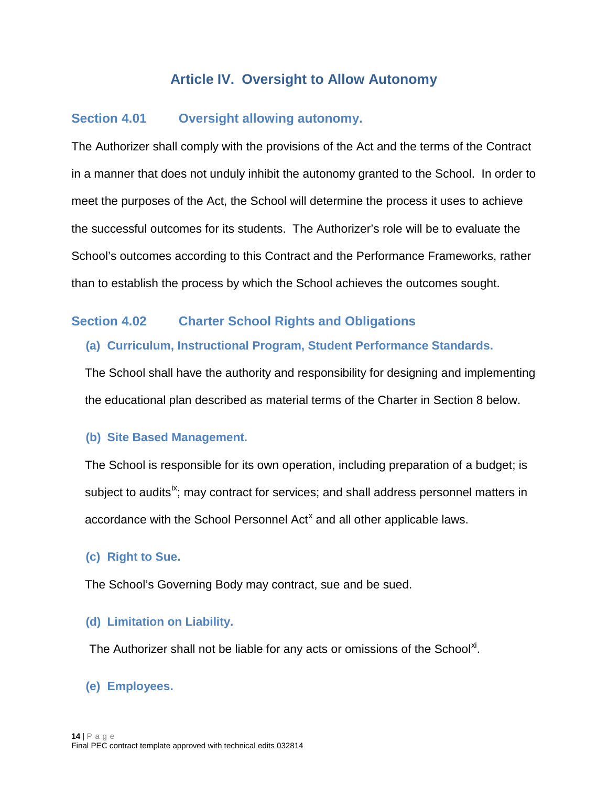# **Article IV. Oversight to Allow Autonomy**

### <span id="page-13-1"></span><span id="page-13-0"></span>**Section 4.01 Oversight allowing autonomy.**

The Authorizer shall comply with the provisions of the Act and the terms of the Contract in a manner that does not unduly inhibit the autonomy granted to the School. In order to meet the purposes of the Act, the School will determine the process it uses to achieve the successful outcomes for its students. The Authorizer's role will be to evaluate the School's outcomes according to this Contract and the Performance Frameworks, rather than to establish the process by which the School achieves the outcomes sought.

### <span id="page-13-3"></span><span id="page-13-2"></span>**Section 4.02 Charter School Rights and Obligations**

#### **(a) Curriculum, Instructional Program, Student Performance Standards.**

The School shall have the authority and responsibility for designing and implementing the educational plan described as material terms of the Charter in Section 8 below.

#### <span id="page-13-4"></span>**(b) Site Based Management.**

The School is responsible for its own operation, including preparation of a budget; is subiect to audits<sup>ix</sup>; may contract for services; and shall address personnel matters in accordance with the School Personnel Act<sup>[x](#page-62-6)</sup> and all other applicable laws.

### <span id="page-13-5"></span>**(c) Right to Sue.**

The School's Governing Body may contract, sue and be sued.

### <span id="page-13-6"></span>**(d) Limitation on Liability.**

The Authorizer shall not be liable for any acts or omissions of the School<sup>[xi](#page-62-7)</sup>.

### <span id="page-13-7"></span>**(e) Employees.**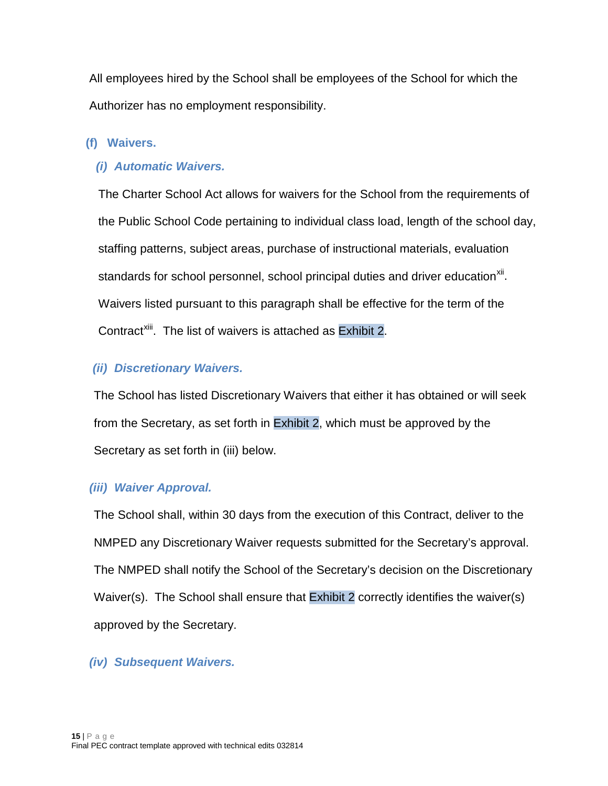All employees hired by the School shall be employees of the School for which the Authorizer has no employment responsibility.

### <span id="page-14-0"></span>**(f) Waivers.**

### *(i) Automatic Waivers.*

The Charter School Act allows for waivers for the School from the requirements of the Public School Code pertaining to individual class load, length of the school day, staffing patterns, subject areas, purchase of instructional materials, evaluation standards for school personnel, school principal duties and driver education<sup>[xii](#page-62-8)</sup>. Waivers listed pursuant to this paragraph shall be effective for the term of the Contract<sup>[xiii](#page-62-9)</sup>. The list of waivers is attached as Exhibit 2.

### *(ii) Discretionary Waivers.*

The School has listed Discretionary Waivers that either it has obtained or will seek from the Secretary, as set forth in Exhibit 2, which must be approved by the Secretary as set forth in (iii) below.

### *(iii) Waiver Approval.*

The School shall, within 30 days from the execution of this Contract, deliver to the NMPED any Discretionary Waiver requests submitted for the Secretary's approval. The NMPED shall notify the School of the Secretary's decision on the Discretionary Waiver(s). The School shall ensure that Exhibit 2 correctly identifies the waiver(s) approved by the Secretary.

### *(iv) Subsequent Waivers.*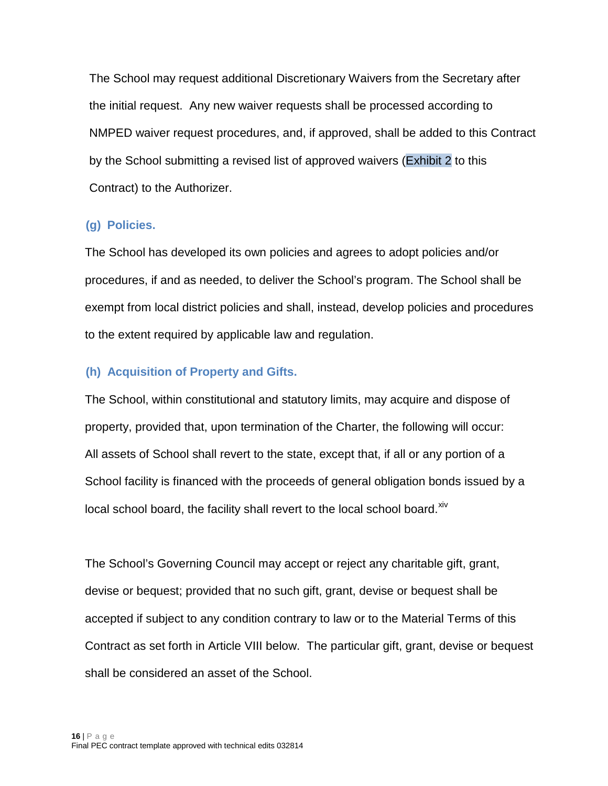The School may request additional Discretionary Waivers from the Secretary after the initial request. Any new waiver requests shall be processed according to NMPED waiver request procedures, and, if approved, shall be added to this Contract by the School submitting a revised list of approved waivers (Exhibit 2 to this Contract) to the Authorizer.

### <span id="page-15-0"></span>**(g) Policies.**

The School has developed its own policies and agrees to adopt policies and/or procedures, if and as needed, to deliver the School's program. The School shall be exempt from local district policies and shall, instead, develop policies and procedures to the extent required by applicable law and regulation.

### <span id="page-15-1"></span>**(h) Acquisition of Property and Gifts.**

The School, within constitutional and statutory limits, may acquire and dispose of property, provided that, upon termination of the Charter, the following will occur: All assets of School shall revert to the state, except that, if all or any portion of a School facility is financed with the proceeds of general obligation bonds issued by a local school board, the facility shall revert to the local school board.<sup>[xiv](#page-62-10)</sup>

The School's Governing Council may accept or reject any charitable gift, grant, devise or bequest; provided that no such gift, grant, devise or bequest shall be accepted if subject to any condition contrary to law or to the Material Terms of this Contract as set forth in Article VIII below. The particular gift, grant, devise or bequest shall be considered an asset of the School.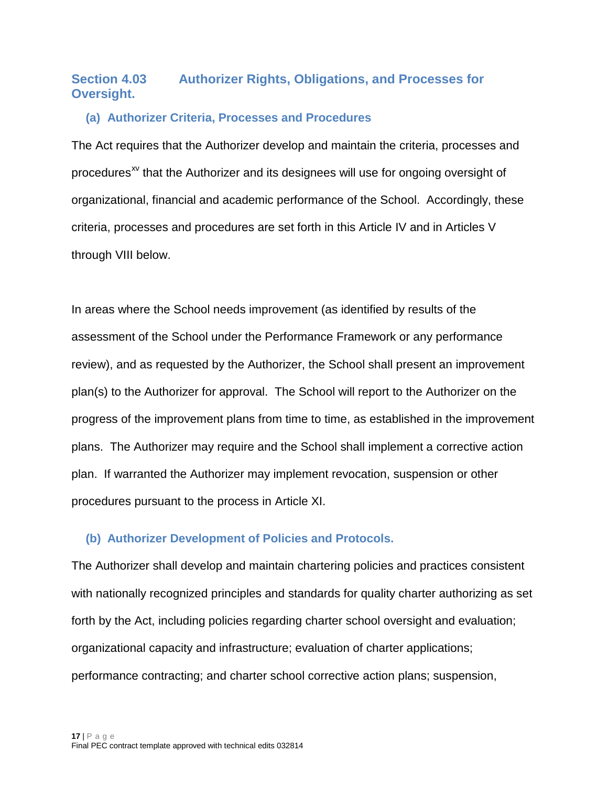# <span id="page-16-0"></span>**Section 4.03 Authorizer Rights, Obligations, and Processes for Oversight.**

### <span id="page-16-1"></span>**(a) Authorizer Criteria, Processes and Procedures**

The Act requires that the Authorizer develop and maintain the criteria, processes and procedures<sup> $x<sub>v</sub>$  that the Authorizer and its designees will use for ongoing oversight of</sup> organizational, financial and academic performance of the School. Accordingly, these criteria, processes and procedures are set forth in this Article IV and in Articles V through VIII below.

In areas where the School needs improvement (as identified by results of the assessment of the School under the Performance Framework or any performance review), and as requested by the Authorizer, the School shall present an improvement plan(s) to the Authorizer for approval. The School will report to the Authorizer on the progress of the improvement plans from time to time, as established in the improvement plans. The Authorizer may require and the School shall implement a corrective action plan. If warranted the Authorizer may implement revocation, suspension or other procedures pursuant to the process in Article XI.

#### <span id="page-16-2"></span>**(b) Authorizer Development of Policies and Protocols.**

The Authorizer shall develop and maintain chartering policies and practices consistent with nationally recognized principles and standards for quality charter authorizing as set forth by the Act, including policies regarding charter school oversight and evaluation; organizational capacity and infrastructure; evaluation of charter applications; performance contracting; and charter school corrective action plans; suspension,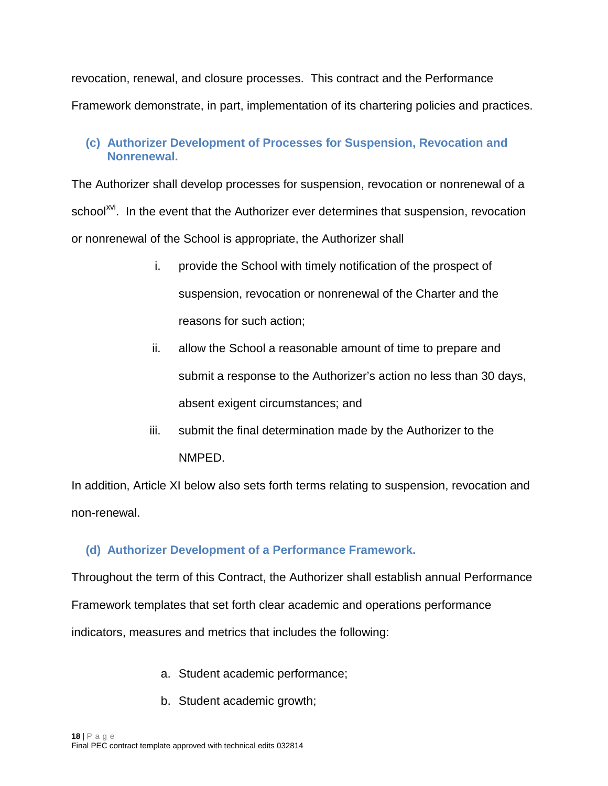revocation, renewal, and closure processes. This contract and the Performance Framework demonstrate, in part, implementation of its chartering policies and practices.

### <span id="page-17-0"></span>**(c) Authorizer Development of Processes for Suspension, Revocation and Nonrenewal.**

The Authorizer shall develop processes for suspension, revocation or nonrenewal of a school<sup>[xvi](#page-62-12)</sup>. In the event that the Authorizer ever determines that suspension, revocation or nonrenewal of the School is appropriate, the Authorizer shall

- i. provide the School with timely notification of the prospect of suspension, revocation or nonrenewal of the Charter and the reasons for such action;
- ii. allow the School a reasonable amount of time to prepare and submit a response to the Authorizer's action no less than 30 days, absent exigent circumstances; and
- iii. submit the final determination made by the Authorizer to the NMPED.

In addition, Article XI below also sets forth terms relating to suspension, revocation and non-renewal.

# <span id="page-17-1"></span>**(d) Authorizer Development of a Performance Framework.**

Throughout the term of this Contract, the Authorizer shall establish annual Performance Framework templates that set forth clear academic and operations performance indicators, measures and metrics that includes the following:

- a. Student academic performance;
- b. Student academic growth;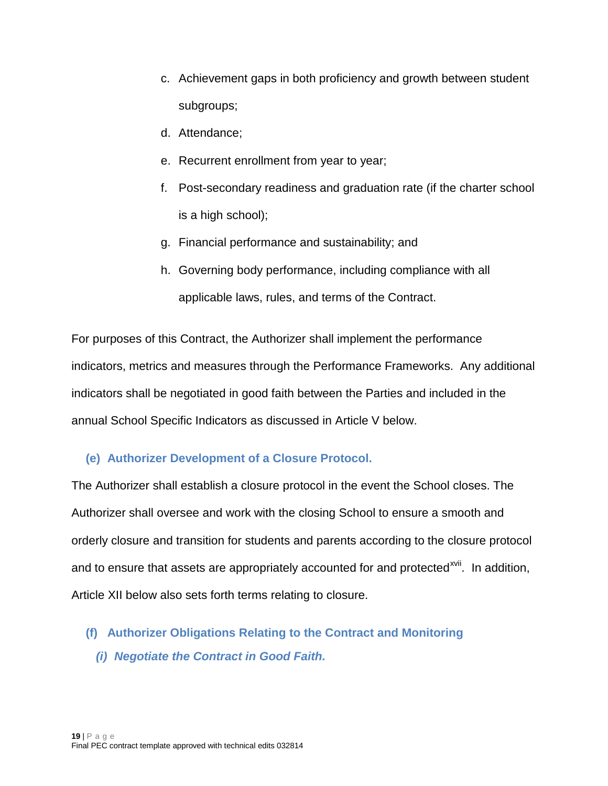- c. Achievement gaps in both proficiency and growth between student subgroups;
- d. Attendance;
- e. Recurrent enrollment from year to year;
- f. Post-secondary readiness and graduation rate (if the charter school is a high school);
- g. Financial performance and sustainability; and
- h. Governing body performance, including compliance with all applicable laws, rules, and terms of the Contract.

For purposes of this Contract, the Authorizer shall implement the performance indicators, metrics and measures through the Performance Frameworks. Any additional indicators shall be negotiated in good faith between the Parties and included in the annual School Specific Indicators as discussed in Article V below.

# <span id="page-18-0"></span>**(e) Authorizer Development of a Closure Protocol.**

The Authorizer shall establish a closure protocol in the event the School closes. The Authorizer shall oversee and work with the closing School to ensure a smooth and orderly closure and transition for students and parents according to the closure protocol and to ensure that assets are appropriately accounted for and protected<sup>[xvii](#page-62-13)</sup>. In addition, Article XII below also sets forth terms relating to closure.

- <span id="page-18-1"></span>**(f) Authorizer Obligations Relating to the Contract and Monitoring**
	- *(i) Negotiate the Contract in Good Faith.*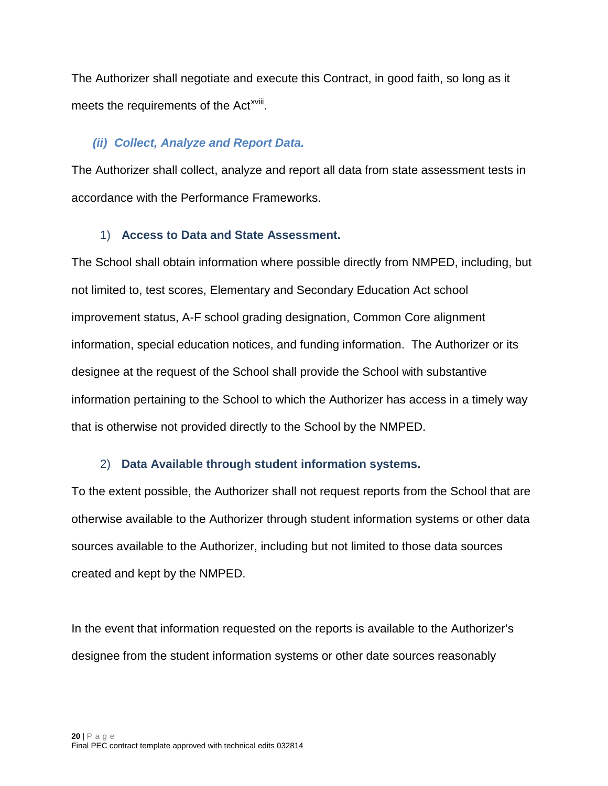The Authorizer shall negotiate and execute this Contract, in good faith, so long as it meets the requirements of the Act<sup>xviii</sup>[.](#page-62-14)

### *(ii) Collect, Analyze and Report Data.*

The Authorizer shall collect, analyze and report all data from state assessment tests in accordance with the Performance Frameworks.

### 1) **Access to Data and State Assessment.**

The School shall obtain information where possible directly from NMPED, including, but not limited to, test scores, Elementary and Secondary Education Act school improvement status, A-F school grading designation, Common Core alignment information, special education notices, and funding information. The Authorizer or its designee at the request of the School shall provide the School with substantive information pertaining to the School to which the Authorizer has access in a timely way that is otherwise not provided directly to the School by the NMPED.

### 2) **Data Available through student information systems.**

To the extent possible, the Authorizer shall not request reports from the School that are otherwise available to the Authorizer through student information systems or other data sources available to the Authorizer, including but not limited to those data sources created and kept by the NMPED.

In the event that information requested on the reports is available to the Authorizer's designee from the student information systems or other date sources reasonably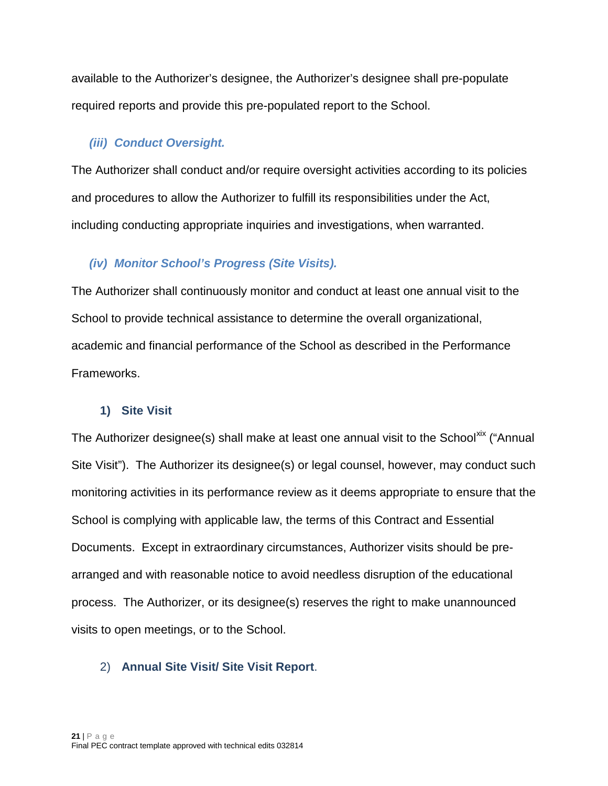available to the Authorizer's designee, the Authorizer's designee shall pre-populate required reports and provide this pre-populated report to the School.

### *(iii) Conduct Oversight.*

The Authorizer shall conduct and/or require oversight activities according to its policies and procedures to allow the Authorizer to fulfill its responsibilities under the Act, including conducting appropriate inquiries and investigations, when warranted.

# *(iv) Monitor School's Progress (Site Visits).*

The Authorizer shall continuously monitor and conduct at least one annual visit to the School to provide technical assistance to determine the overall organizational, academic and financial performance of the School as described in the Performance Frameworks.

### **1) Site Visit**

The Authorizer designee(s) shall make at least one annual visit to the School<sup>[xix](#page-62-15)</sup> ("Annual Site Visit"). The Authorizer its designee(s) or legal counsel, however, may conduct such monitoring activities in its performance review as it deems appropriate to ensure that the School is complying with applicable law, the terms of this Contract and Essential Documents. Except in extraordinary circumstances, Authorizer visits should be prearranged and with reasonable notice to avoid needless disruption of the educational process. The Authorizer, or its designee(s) reserves the right to make unannounced visits to open meetings, or to the School.

### 2) **Annual Site Visit/ Site Visit Report**.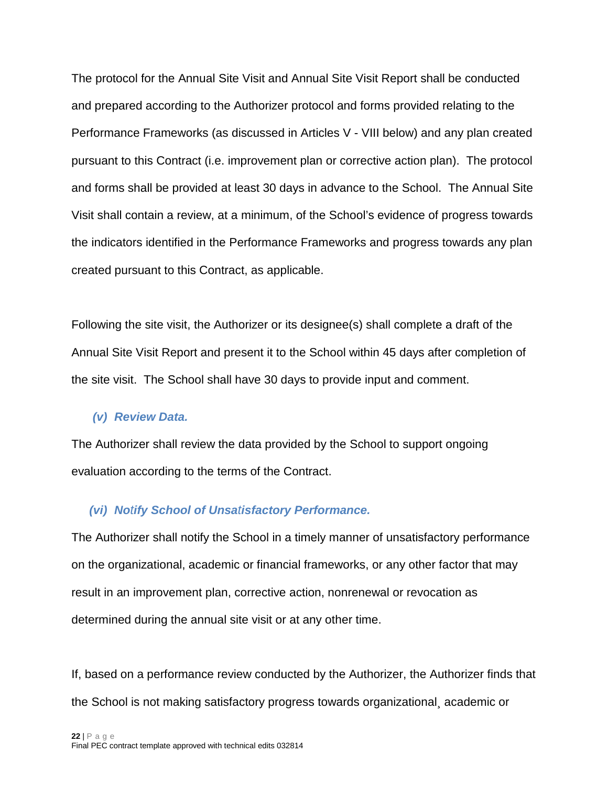The protocol for the Annual Site Visit and Annual Site Visit Report shall be conducted and prepared according to the Authorizer protocol and forms provided relating to the Performance Frameworks (as discussed in Articles V - VIII below) and any plan created pursuant to this Contract (i.e. improvement plan or corrective action plan). The protocol and forms shall be provided at least 30 days in advance to the School. The Annual Site Visit shall contain a review, at a minimum, of the School's evidence of progress towards the indicators identified in the Performance Frameworks and progress towards any plan created pursuant to this Contract, as applicable.

Following the site visit, the Authorizer or its designee(s) shall complete a draft of the Annual Site Visit Report and present it to the School within 45 days after completion of the site visit. The School shall have 30 days to provide input and comment.

#### *(v) Review Data.*

The Authorizer shall review the data provided by the School to support ongoing evaluation according to the terms of the Contract.

#### *(vi) Notify School of Unsatisfactory Performance.*

The Authorizer shall notify the School in a timely manner of unsatisfactory performance on the organizational, academic or financial frameworks, or any other factor that may result in an improvement plan, corrective action, nonrenewal or revocation as determined during the annual site visit or at any other time.

If, based on a performance review conducted by the Authorizer, the Authorizer finds that the School is not making satisfactory progress towards organizational¸ academic or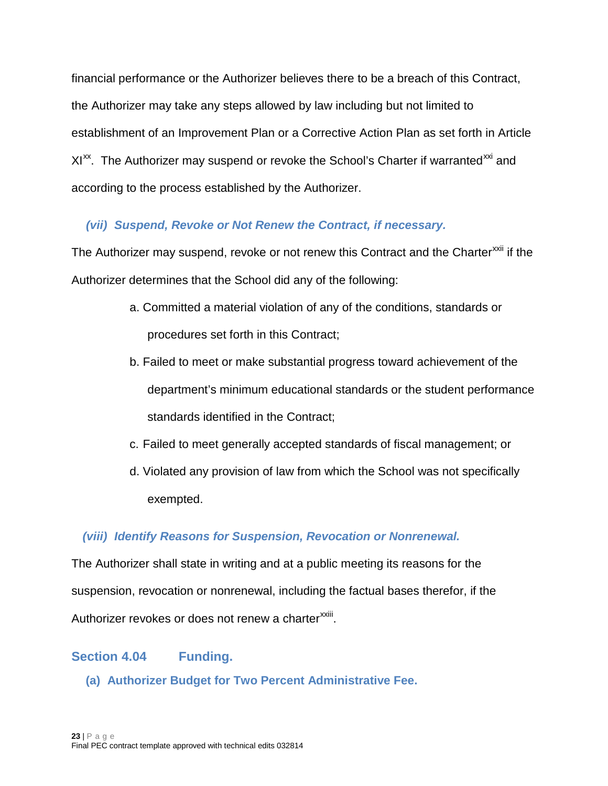financial performance or the Authorizer believes there to be a breach of this Contract, the Authorizer may take any steps allowed by law including but not limited to establishment of an Improvement Plan or a Corrective Action Plan as set forth in Article XI<sup>xx</sup>. The Authorizer may suspend or revoke the School's Charter if warranted<sup>[xxi](#page-62-17)</sup> and according to the process established by the Authorizer.

# *(vii) Suspend, Revoke or Not Renew the Contract, if necessary.*

The Authorizer may suspend, revoke or not renew this Contract and the Charter<sup>[xxii](#page-62-18)</sup> if the Authorizer determines that the School did any of the following:

- a. Committed a material violation of any of the conditions, standards or procedures set forth in this Contract;
- b. Failed to meet or make substantial progress toward achievement of the department's minimum educational standards or the student performance standards identified in the Contract;
- c. Failed to meet generally accepted standards of fiscal management; or
- d. Violated any provision of law from which the School was not specifically exempted.

### *(viii) Identify Reasons for Suspension, Revocation or Nonrenewal.*

The Authorizer shall state in writing and at a public meeting its reasons for the suspension, revocation or nonrenewal, including the factual bases therefor, if the Authorizer revokes or does not renew a charter<sup>xxiii</sup>[.](#page-62-19)

### <span id="page-22-1"></span><span id="page-22-0"></span>**Section 4.04 Funding.**

**(a) Authorizer Budget for Two Percent Administrative Fee.**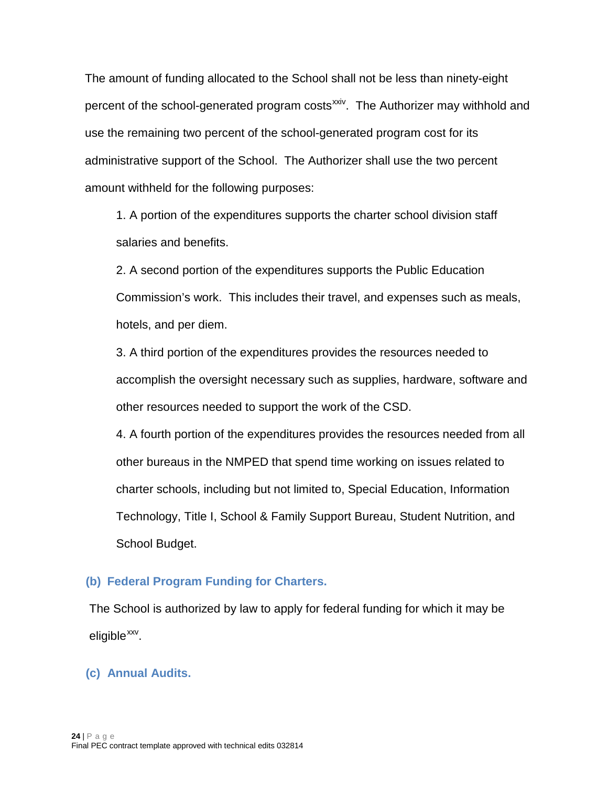The amount of funding allocated to the School shall not be less than ninety-eight percent of the school-generated program costs<sup>[xxiv](#page-62-20)</sup>. The Authorizer may withhold and use the remaining two percent of the school-generated program cost for its administrative support of the School. The Authorizer shall use the two percent amount withheld for the following purposes:

1. A portion of the expenditures supports the charter school division staff salaries and benefits.

2. A second portion of the expenditures supports the Public Education Commission's work. This includes their travel, and expenses such as meals, hotels, and per diem.

3. A third portion of the expenditures provides the resources needed to accomplish the oversight necessary such as supplies, hardware, software and other resources needed to support the work of the CSD.

4. A fourth portion of the expenditures provides the resources needed from all other bureaus in the NMPED that spend time working on issues related to charter schools, including but not limited to, Special Education, Information Technology, Title I, School & Family Support Bureau, Student Nutrition, and School Budget.

#### <span id="page-23-0"></span>**(b) Federal Program Funding for Charters.**

The School is authorized by law to apply for federal funding for which it may be  $e$ ligible $x_{xx}$ .

#### <span id="page-23-1"></span>**(c) Annual Audits.**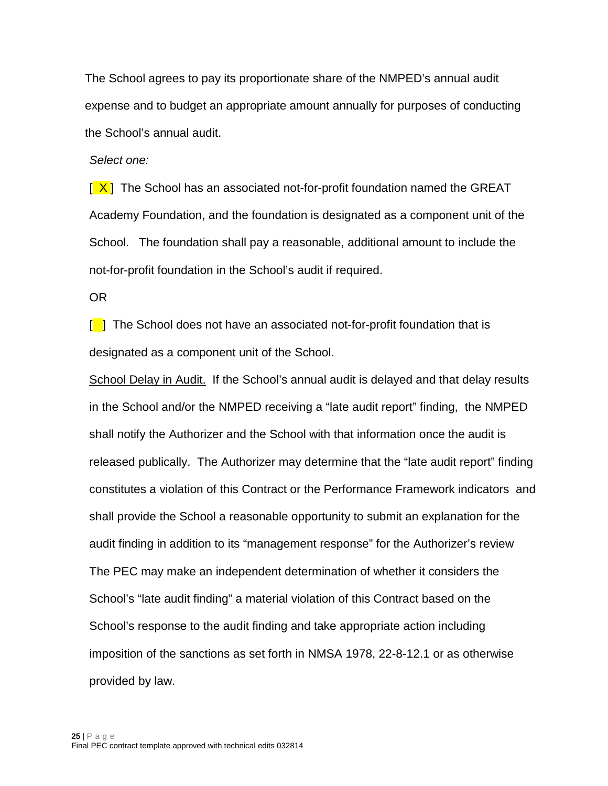The School agrees to pay its proportionate share of the NMPED's annual audit expense and to budget an appropriate amount annually for purposes of conducting the School's annual audit.

*Select one:*

 $\left[\frac{\mathsf{X}}{\mathsf{X}}\right]$  The School has an associated not-for-profit foundation named the GREAT Academy Foundation, and the foundation is designated as a component unit of the School. The foundation shall pay a reasonable, additional amount to include the not-for-profit foundation in the School's audit if required.

OR

 $\lceil \cdot \rceil$  The School does not have an associated not-for-profit foundation that is designated as a component unit of the School.

School Delay in Audit. If the School's annual audit is delayed and that delay results in the School and/or the NMPED receiving a "late audit report" finding, the NMPED shall notify the Authorizer and the School with that information once the audit is released publically. The Authorizer may determine that the "late audit report" finding constitutes a violation of this Contract or the Performance Framework indicators and shall provide the School a reasonable opportunity to submit an explanation for the audit finding in addition to its "management response" for the Authorizer's review The PEC may make an independent determination of whether it considers the School's "late audit finding" a material violation of this Contract based on the School's response to the audit finding and take appropriate action including imposition of the sanctions as set forth in NMSA 1978, 22-8-12.1 or as otherwise provided by law.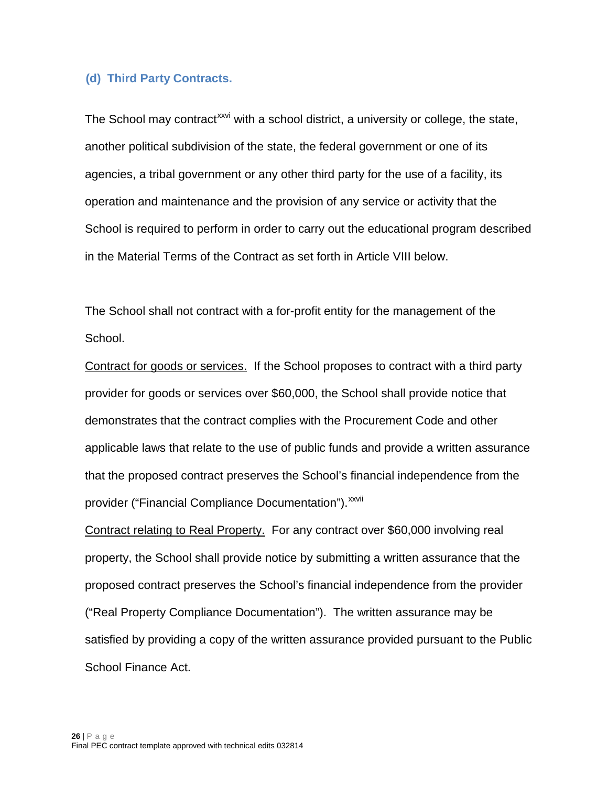#### <span id="page-25-0"></span>**(d) Third Party Contracts.**

The School may contract<sup>[xxvi](#page-62-22)</sup> with a school district, a university or college, the state, another political subdivision of the state, the federal government or one of its agencies, a tribal government or any other third party for the use of a facility, its operation and maintenance and the provision of any service or activity that the School is required to perform in order to carry out the educational program described in the Material Terms of the Contract as set forth in Article VIII below.

The School shall not contract with a for-profit entity for the management of the School.

provider("Financial Compliance Documentation").<sup>xxvii</sup> Contract for goods or services. If the School proposes to contract with a third party provider for goods or services over \$60,000, the School shall provide notice that demonstrates that the contract complies with the Procurement Code and other applicable laws that relate to the use of public funds and provide a written assurance that the proposed contract preserves the School's financial independence from the

Contract relating to Real Property. For any contract over \$60,000 involving real property, the School shall provide notice by submitting a written assurance that the proposed contract preserves the School's financial independence from the provider ("Real Property Compliance Documentation"). The written assurance may be satisfied by providing a copy of the written assurance provided pursuant to the Public School Finance Act.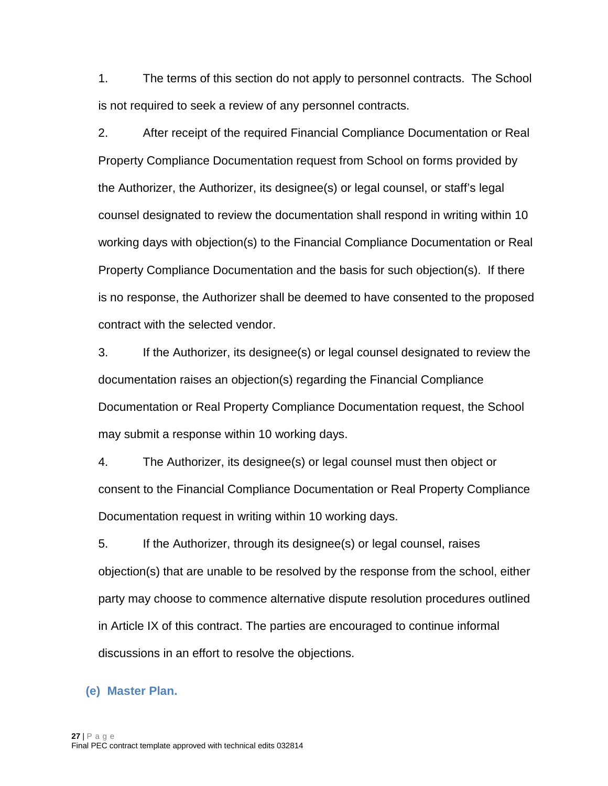1. The terms of this section do not apply to personnel contracts. The School is not required to seek a review of any personnel contracts.

2. After receipt of the required Financial Compliance Documentation or Real Property Compliance Documentation request from School on forms provided by the Authorizer, the Authorizer, its designee(s) or legal counsel, or staff's legal counsel designated to review the documentation shall respond in writing within 10 working days with objection(s) to the Financial Compliance Documentation or Real Property Compliance Documentation and the basis for such objection(s). If there is no response, the Authorizer shall be deemed to have consented to the proposed contract with the selected vendor.

3. If the Authorizer, its designee(s) or legal counsel designated to review the documentation raises an objection(s) regarding the Financial Compliance Documentation or Real Property Compliance Documentation request, the School may submit a response within 10 working days.

4. The Authorizer, its designee(s) or legal counsel must then object or consent to the Financial Compliance Documentation or Real Property Compliance Documentation request in writing within 10 working days.

5. If the Authorizer, through its designee(s) or legal counsel, raises objection(s) that are unable to be resolved by the response from the school, either party may choose to commence alternative dispute resolution procedures outlined in Article IX of this contract. The parties are encouraged to continue informal discussions in an effort to resolve the objections.

#### <span id="page-26-0"></span>**(e) Master Plan.**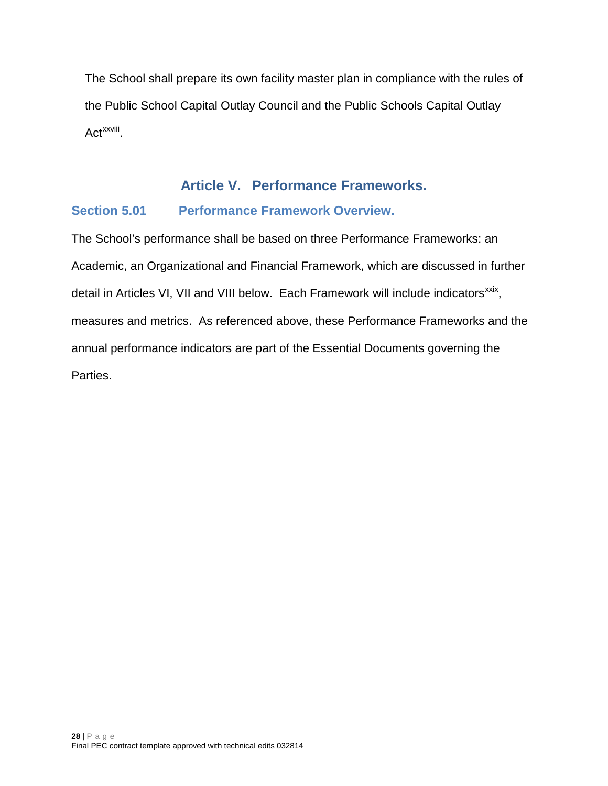The School shall prepare its own facility master plan in compliance with the rules of the Public School Capital Outlay Council and the Public Schools Capital Outlay Act<sup>xxviii</sup>.

**Article V. Performance Frameworks.**

# <span id="page-27-1"></span><span id="page-27-0"></span>**Section 5.01 Performance Framework Overview.**

The School's performance shall be based on three Performance Frameworks: an Academic, an Organizational and Financial Framework, which are discussed in further detail in Articles VI, VII and VIII below. Each Framework will include indicators<sup>xxix</sup>, measures and metrics. As referenced above, these Performance Frameworks and the annual performance indicators are part of the Essential Documents governing the Parties.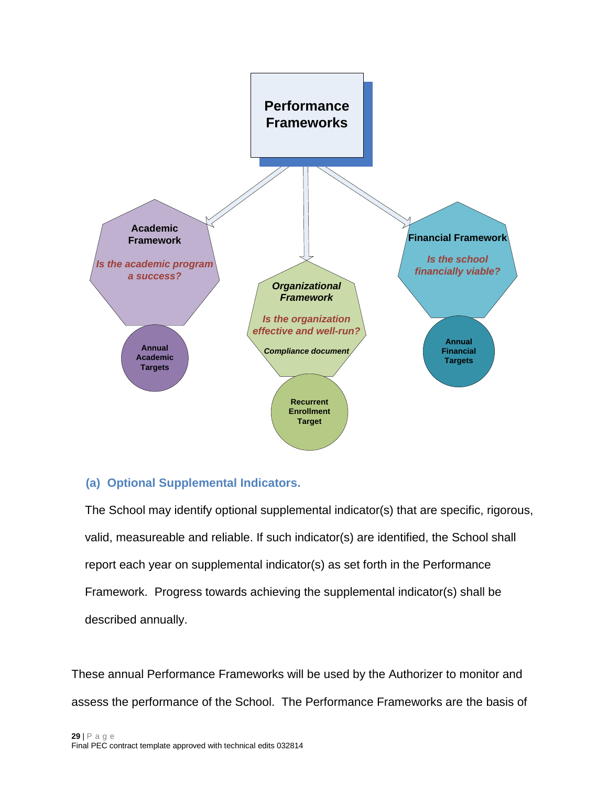

### <span id="page-28-0"></span>**(a) Optional Supplemental Indicators.**

The School may identify optional supplemental indicator(s) that are specific, rigorous, valid, measureable and reliable. If such indicator(s) are identified, the School shall report each year on supplemental indicator(s) as set forth in the Performance Framework. Progress towards achieving the supplemental indicator(s) shall be described annually.

These annual Performance Frameworks will be used by the Authorizer to monitor and assess the performance of the School. The Performance Frameworks are the basis of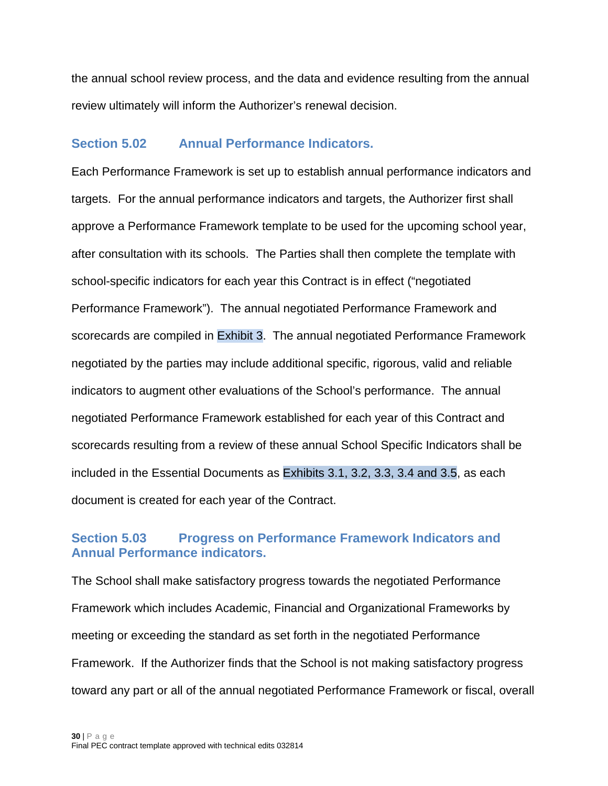the annual school review process, and the data and evidence resulting from the annual review ultimately will inform the Authorizer's renewal decision.

### <span id="page-29-0"></span>**Section 5.02 Annual Performance Indicators.**

Each Performance Framework is set up to establish annual performance indicators and targets. For the annual performance indicators and targets, the Authorizer first shall approve a Performance Framework template to be used for the upcoming school year, after consultation with its schools. The Parties shall then complete the template with school-specific indicators for each year this Contract is in effect ("negotiated Performance Framework"). The annual negotiated Performance Framework and scorecards are compiled in Exhibit 3. The annual negotiated Performance Framework negotiated by the parties may include additional specific, rigorous, valid and reliable indicators to augment other evaluations of the School's performance. The annual negotiated Performance Framework established for each year of this Contract and scorecards resulting from a review of these annual School Specific Indicators shall be included in the Essential Documents as Exhibits 3.1, 3.2, 3.3, 3.4 and 3.5, as each document is created for each year of the Contract.

### <span id="page-29-1"></span>**Section 5.03 Progress on Performance Framework Indicators and Annual Performance indicators.**

The School shall make satisfactory progress towards the negotiated Performance Framework which includes Academic, Financial and Organizational Frameworks by meeting or exceeding the standard as set forth in the negotiated Performance Framework. If the Authorizer finds that the School is not making satisfactory progress toward any part or all of the annual negotiated Performance Framework or fiscal, overall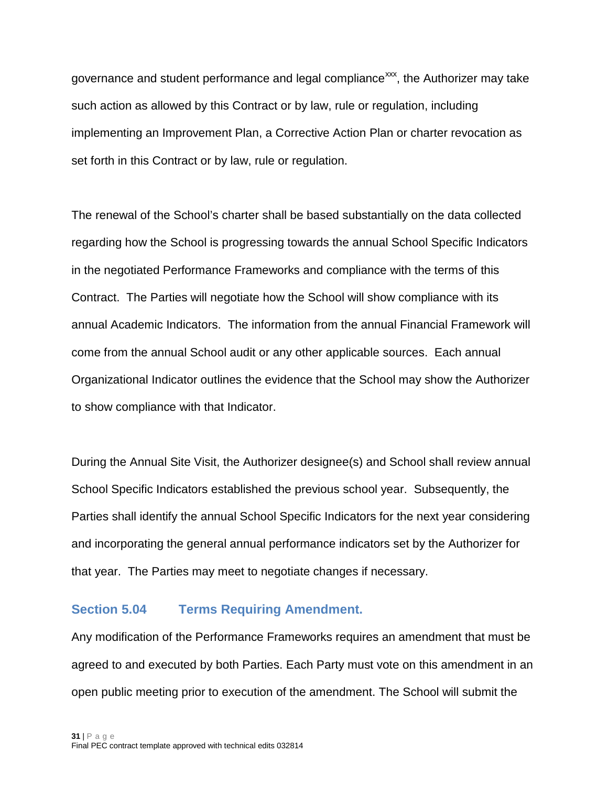governance and student performance and legal compliance<sup>xxx</sup>, the Authorizer may take such action as allowed by this Contract or by law, rule or regulation, including implementing an Improvement Plan, a Corrective Action Plan or charter revocation as set forth in this Contract or by law, rule or regulation.

The renewal of the School's charter shall be based substantially on the data collected regarding how the School is progressing towards the annual School Specific Indicators in the negotiated Performance Frameworks and compliance with the terms of this Contract. The Parties will negotiate how the School will show compliance with its annual Academic Indicators. The information from the annual Financial Framework will come from the annual School audit or any other applicable sources. Each annual Organizational Indicator outlines the evidence that the School may show the Authorizer to show compliance with that Indicator.

During the Annual Site Visit, the Authorizer designee(s) and School shall review annual School Specific Indicators established the previous school year. Subsequently, the Parties shall identify the annual School Specific Indicators for the next year considering and incorporating the general annual performance indicators set by the Authorizer for that year. The Parties may meet to negotiate changes if necessary.

#### <span id="page-30-0"></span>**Section 5.04 Terms Requiring Amendment.**

Any modification of the Performance Frameworks requires an amendment that must be agreed to and executed by both Parties. Each Party must vote on this amendment in an open public meeting prior to execution of the amendment. The School will submit the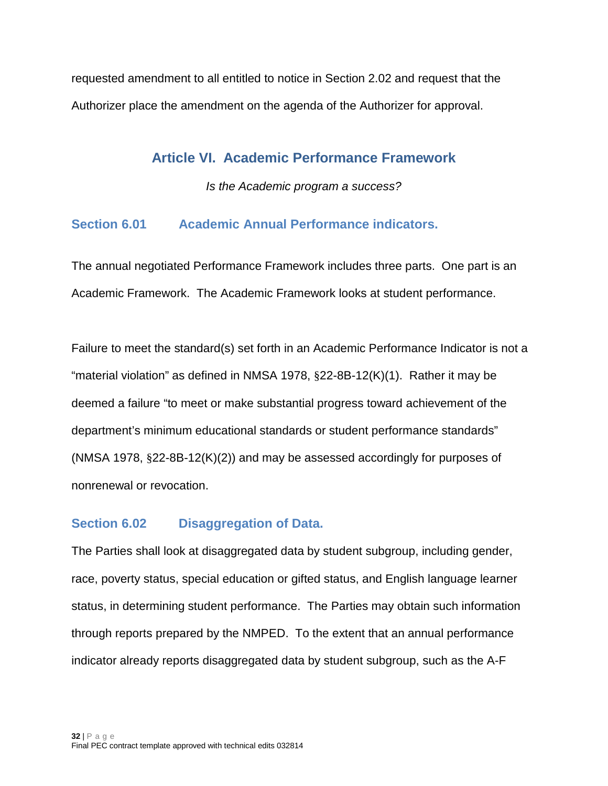<span id="page-31-0"></span>requested amendment to all entitled to notice in Section 2.02 and request that the Authorizer place the amendment on the agenda of the Authorizer for approval.

# **Article VI. Academic Performance Framework**

*Is the Academic program a success?*

### <span id="page-31-1"></span>**Section 6.01 Academic Annual Performance indicators.**

The annual negotiated Performance Framework includes three parts. One part is an Academic Framework. The Academic Framework looks at student performance.

Failure to meet the standard(s) set forth in an Academic Performance Indicator is not a "material violation" as defined in NMSA 1978, §22-8B-12(K)(1). Rather it may be deemed a failure "to meet or make substantial progress toward achievement of the department's minimum educational standards or student performance standards" (NMSA 1978, §22-8B-12(K)(2)) and may be assessed accordingly for purposes of nonrenewal or revocation.

### <span id="page-31-2"></span>**Section 6.02 Disaggregation of Data.**

The Parties shall look at disaggregated data by student subgroup, including gender, race, poverty status, special education or gifted status, and English language learner status, in determining student performance. The Parties may obtain such information through reports prepared by the NMPED. To the extent that an annual performance indicator already reports disaggregated data by student subgroup, such as the A-F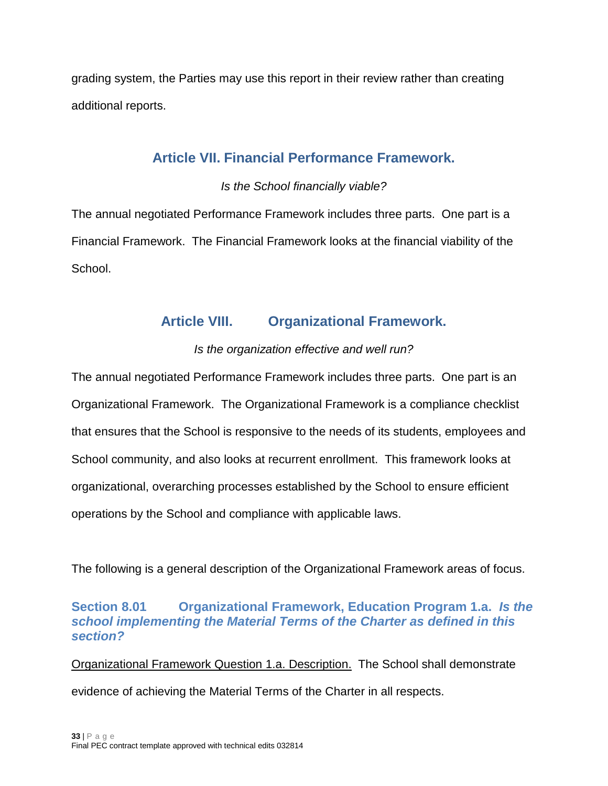<span id="page-32-0"></span>grading system, the Parties may use this report in their review rather than creating additional reports.

# **Article VII. Financial Performance Framework.**

### *Is the School financially viable?*

The annual negotiated Performance Framework includes three parts. One part is a Financial Framework. The Financial Framework looks at the financial viability of the School.

# **Article VIII. Organizational Framework.**

# *Is the organization effective and well run?*

<span id="page-32-1"></span>The annual negotiated Performance Framework includes three parts. One part is an Organizational Framework. The Organizational Framework is a compliance checklist that ensures that the School is responsive to the needs of its students, employees and School community, and also looks at recurrent enrollment. This framework looks at organizational, overarching processes established by the School to ensure efficient operations by the School and compliance with applicable laws.

The following is a general description of the Organizational Framework areas of focus.

### <span id="page-32-2"></span>**Section 8.01 Organizational Framework, Education Program 1.a.** *Is the school implementing the Material Terms of the Charter as defined in this section?*

Organizational Framework Question 1.a. Description. The School shall demonstrate evidence of achieving the Material Terms of the Charter in all respects.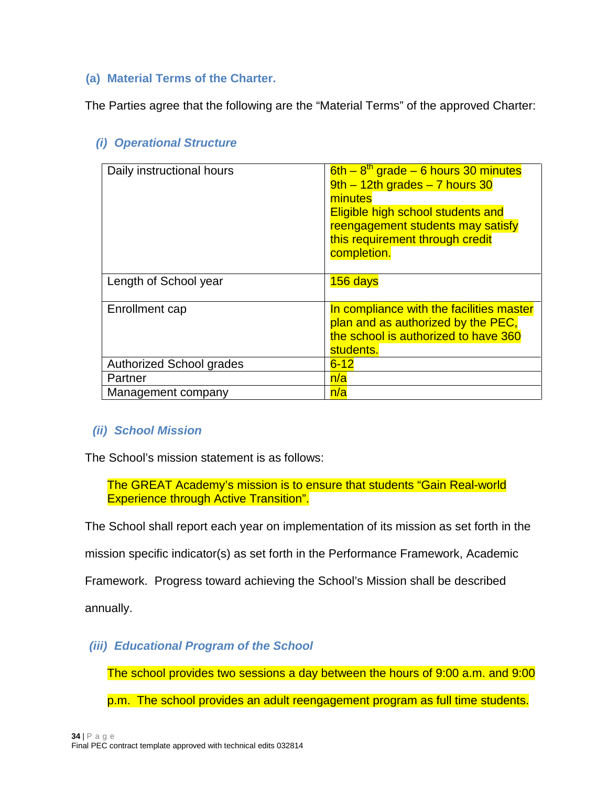### <span id="page-33-0"></span>**(a) Material Terms of the Charter.**

The Parties agree that the following are the "Material Terms" of the approved Charter:

| Daily instructional hours       | $6th - 8th$ grade – 6 hours 30 minutes<br>$9th - 12th$ grades $-7$ hours 30<br>minutes<br><b>Eligible high school students and</b><br>reengagement students may satisfy<br>this requirement through credit<br>completion. |
|---------------------------------|---------------------------------------------------------------------------------------------------------------------------------------------------------------------------------------------------------------------------|
| Length of School year           | 156 days                                                                                                                                                                                                                  |
| Enrollment cap                  | In compliance with the facilities master<br>plan and as authorized by the PEC,<br>the school is authorized to have 360<br>students.                                                                                       |
| <b>Authorized School grades</b> | $6 - 12$                                                                                                                                                                                                                  |
| Partner                         | n/a                                                                                                                                                                                                                       |
| Management company              | n/a                                                                                                                                                                                                                       |

# *(i) Operational Structure*

### *(ii) School Mission*

The School's mission statement is as follows:

The GREAT Academy's mission is to ensure that students "Gain Real-world Experience through Active Transition".

The School shall report each year on implementation of its mission as set forth in the

mission specific indicator(s) as set forth in the Performance Framework, Academic

Framework. Progress toward achieving the School's Mission shall be described

annually.

*(iii) Educational Program of the School*

The school provides two sessions a day between the hours of 9:00 a.m. and 9:00

p.m. The school provides an adult reengagement program as full time students.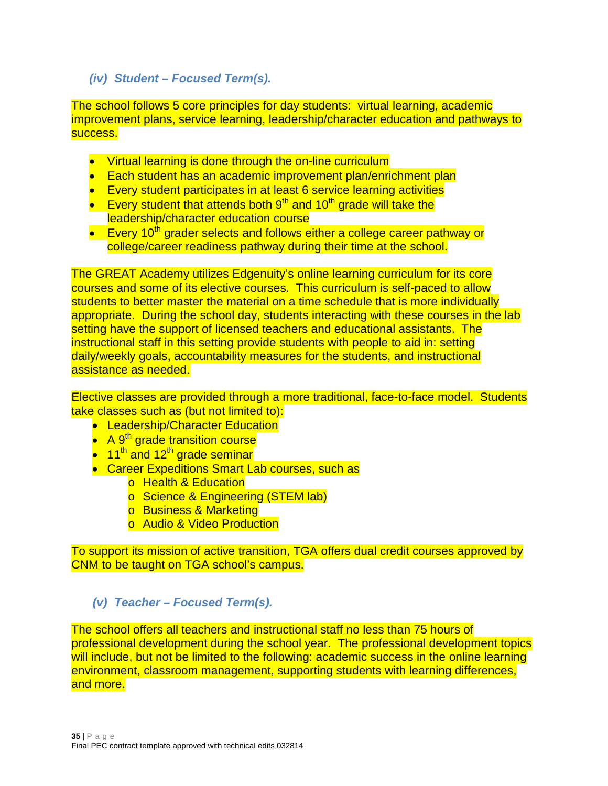### *(iv) Student – Focused Term(s).*

The school follows 5 core principles for day students: virtual learning, academic improvement plans, service learning, leadership/character education and pathways to success.

- Virtual learning is done through the on-line curriculum
- Each student has an academic improvement plan/enrichment plan
- Every student participates in at least 6 service learning activities
- Every student that attends both  $9<sup>th</sup>$  and 10<sup>th</sup> grade will take the leadership/character education course
- Every 10<sup>th</sup> grader selects and follows either a college career pathway or college/career readiness pathway during their time at the school.

The GREAT Academy utilizes Edgenuity's online learning curriculum for its core courses and some of its elective courses. This curriculum is self-paced to allow students to better master the material on a time schedule that is more individually appropriate. During the school day, students interacting with these courses in the lab setting have the support of licensed teachers and educational assistants. The instructional staff in this setting provide students with people to aid in: setting daily/weekly goals, accountability measures for the students, and instructional assistance as needed.

Elective classes are provided through a more traditional, face-to-face model. Students take classes such as (but not limited to):

- Leadership/Character Education
- A 9<sup>th</sup> grade transition course
- $\bullet$  11<sup>th</sup> and 12<sup>th</sup> grade seminar
- Career Expeditions Smart Lab courses, such as
	- o Health & Education
	- o Science & Engineering (STEM lab)
	- o Business & Marketing
	- o Audio & Video Production

To support its mission of active transition, TGA offers dual credit courses approved by CNM to be taught on TGA school's campus.

### *(v) Teacher – Focused Term(s).*

The school offers all teachers and instructional staff no less than 75 hours of professional development during the school year. The professional development topics will include, but not be limited to the following: academic success in the online learning environment, classroom management, supporting students with learning differences, and more.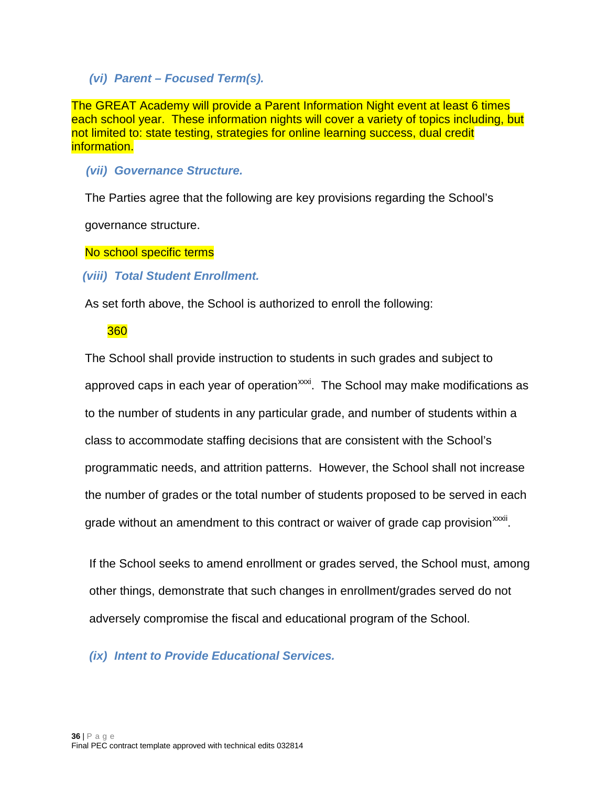*(vi) Parent – Focused Term(s).*

The GREAT Academy will provide a Parent Information Night event at least 6 times each school year. These information nights will cover a variety of topics including, but not limited to: state testing, strategies for online learning success, dual credit information.

*(vii) Governance Structure.*

The Parties agree that the following are key provisions regarding the School's

governance structure.

No school specific terms

*(viii) Total Student Enrollment.*

As set forth above, the School is authorized to enroll the following:

### 360

The School shall provide instruction to students in such grades and subject to approved caps in each year of operation<sup>[xxxi](#page-62-27)</sup>. The School may make modifications as grade without an amendment to this contract or waiver of grade cap provision<sup>xxxii</sup>[.](#page-62-28) to the number of students in any particular grade, and number of students within a class to accommodate staffing decisions that are consistent with the School's programmatic needs, and attrition patterns. However, the School shall not increase the number of grades or the total number of students proposed to be served in each

If the School seeks to amend enrollment or grades served, the School must, among other things, demonstrate that such changes in enrollment/grades served do not adversely compromise the fiscal and educational program of the School.

*(ix) Intent to Provide Educational Services.*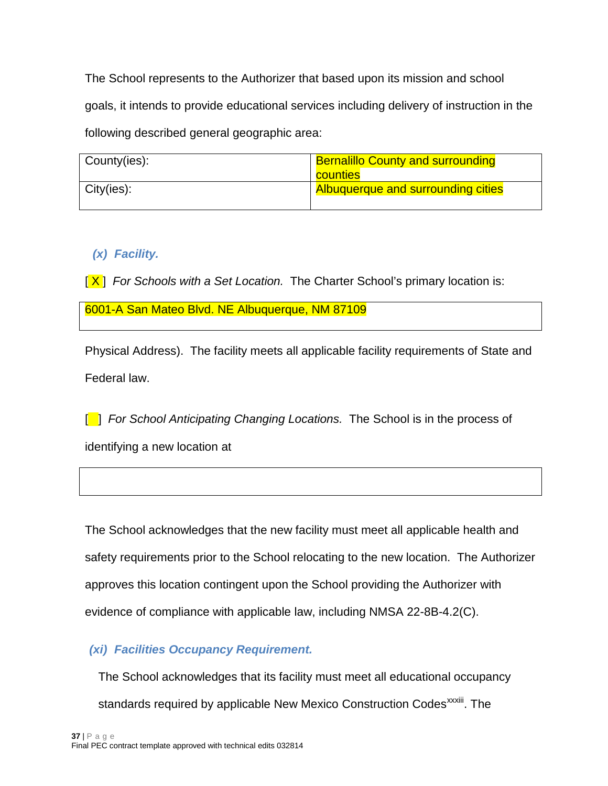The School represents to the Authorizer that based upon its mission and school goals, it intends to provide educational services including delivery of instruction in the following described general geographic area:

| County(ies):  | <b>Bernalillo County and surrounding</b>  |  |
|---------------|-------------------------------------------|--|
|               | counties                                  |  |
| $City(ies)$ : | <b>Albuquerque and surrounding cities</b> |  |

# *(x) Facility.*

[X] *For Schools with a Set Location.* The Charter School's primary location is:

6001-A San Mateo Blvd. NE Albuquerque, NM 87109

Physical Address). The facility meets all applicable facility requirements of State and Federal law.

[<sup>1</sup>] *For School Anticipating Changing Locations.* The School is in the process of identifying a new location at

The School acknowledges that the new facility must meet all applicable health and safety requirements prior to the School relocating to the new location. The Authorizer approves this location contingent upon the School providing the Authorizer with evidence of compliance with applicable law, including NMSA 22-8B-4.2(C).

# *(xi) Facilities Occupancy Requirement.*

The School acknowledges that its facility must meet all educational occupancy

standards required by applicable New Mexico Construction Codes<sup>xxxiii</sup>. The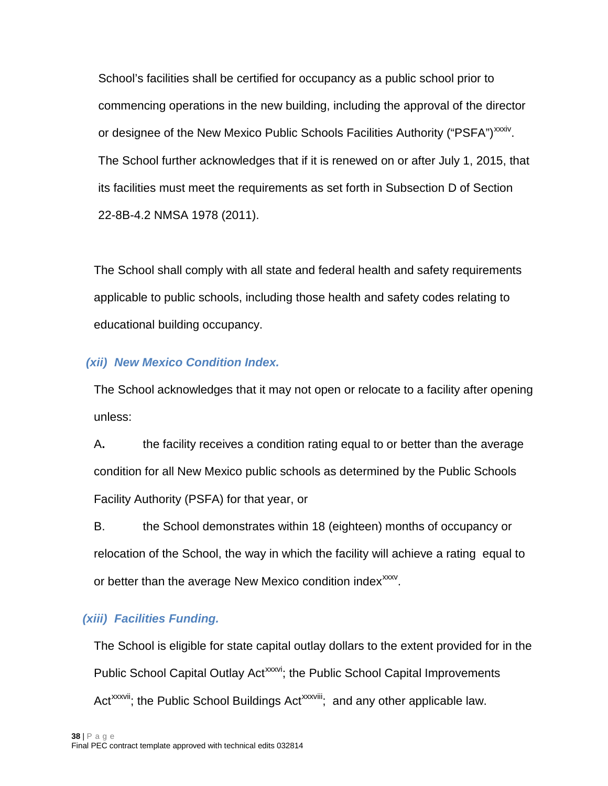School's facilities shall be certified for occupancy as a public school prior to commencing operations in the new buildin[g,](#page-62-29) including the approval of the director or designee of the New Mexico Public Schools Facilities Authority ("PSFA")<sup>xxxiv</sup>. The School further acknowledges that if it is renewed on or after July 1, 2015, that its facilities must meet the requirements as set forth in Subsection D of Section 22-8B-4.2 NMSA 1978 (2011).

The School shall comply with all state and federal health and safety requirements applicable to public schools, including those health and safety codes relating to educational building occupancy.

### *(xii) New Mexico Condition Index.*

The School acknowledges that it may not open or relocate to a facility after opening unless:

A**.** the facility receives a condition rating equal to or better than the average condition for all New Mexico public schools as determined by the Public Schools Facility Authority (PSFA) for that year, or

B. the School demonstrates within 18 (eighteen) months of occupancy or relocation of the School, the way in which the facility will achieve a rating equal to or better than the average New Mexico condition index<sup>xxxv</sup>.

### *(xiii) Facilities Funding.*

The School is eligible for state capital outlay dollars to the extent provided for in the Public School Capital Outlay Act<sup>xxxvi</sup>; the Public School Capital Improvements [Act](#page-62-32)<sup>xxxvii</sup>; the Public School Buildings Act<sup>xxxviii</sup>; and any other applicable law.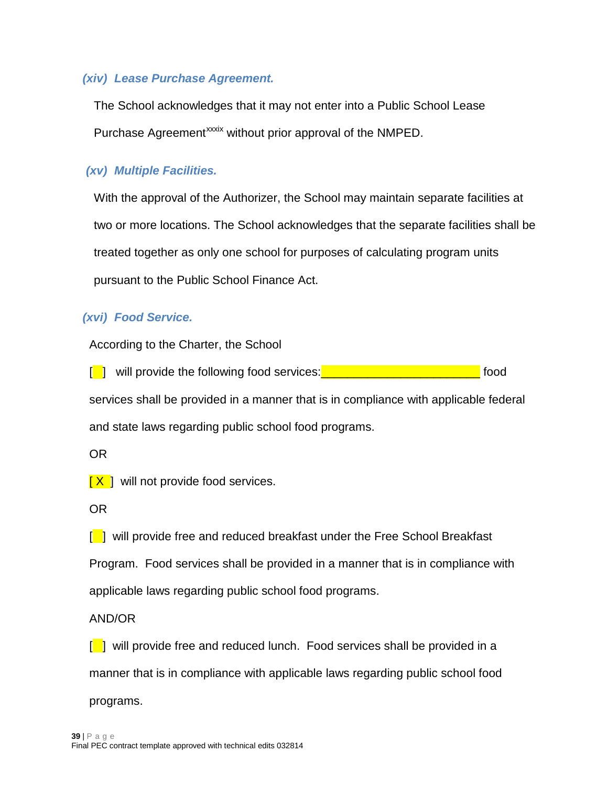### *(xiv) Lease Purchase Agreement.*

The School acknowledges that it may not enter into a Public School Lease Purchase Agreement<sup>[x](#page-62-33)xxix</sup> without prior approval of the NMPED.

### *(xv) Multiple Facilities.*

With the approval of the Authorizer, the School may maintain separate facilities at two or more locations. The School acknowledges that the separate facilities shall be treated together as only one school for purposes of calculating program units pursuant to the Public School Finance Act.

### *(xvi) Food Service.*

According to the Charter, the School

[ ] will provide the following food services: Containing the service of the services of the services of the services of the services of the services of the services of the services of the services of the services of the se services shall be provided in a manner that is in compliance with applicable federal and state laws regarding public school food programs.

OR

 $[X]$  will not provide food services.

OR

[<sup>1</sup>] will provide free and reduced breakfast under the Free School Breakfast

Program. Food services shall be provided in a manner that is in compliance with

applicable laws regarding public school food programs.

AND/OR

 $\lceil \cdot \rceil$  will provide free and reduced lunch. Food services shall be provided in a manner that is in compliance with applicable laws regarding public school food programs.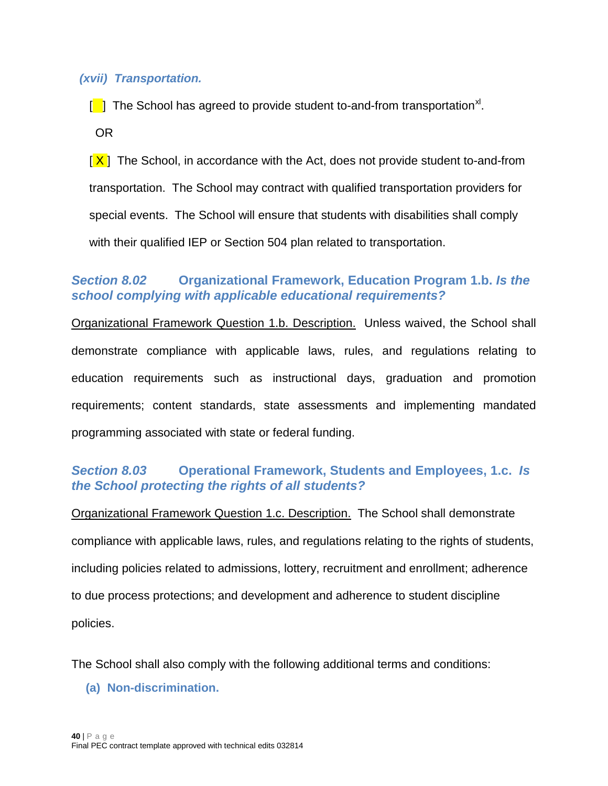#### *(xvii) Transportation.*

[<sup>1</sup>] The School has agreed to provide student to-and-from transportation<sup>[xl](#page-62-34)</sup>.

OR

[ X ]The School, in accordance with the Act, does not provide student to-and-from transportation. The School may contract with qualified transportation providers for special events. The School will ensure that students with disabilities shall comply with their qualified IEP or Section 504 plan related to transportation.

### <span id="page-39-0"></span>*Section 8.02* **Organizational Framework, Education Program 1.b.** *Is the school complying with applicable educational requirements?*

Organizational Framework Question 1.b. Description. Unless waived, the School shall demonstrate compliance with applicable laws, rules, and regulations relating to education requirements such as instructional days, graduation and promotion requirements; content standards, state assessments and implementing mandated programming associated with state or federal funding.

### <span id="page-39-1"></span>*Section 8.03* **Operational Framework, Students and Employees, 1.c.** *Is the School protecting the rights of all students?*

Organizational Framework Question 1.c. Description. The School shall demonstrate compliance with applicable laws, rules, and regulations relating to the rights of students, including policies related to admissions, lottery, recruitment and enrollment; adherence to due process protections; and development and adherence to student discipline policies.

<span id="page-39-2"></span>The School shall also comply with the following additional terms and conditions:

**(a) Non-discrimination.**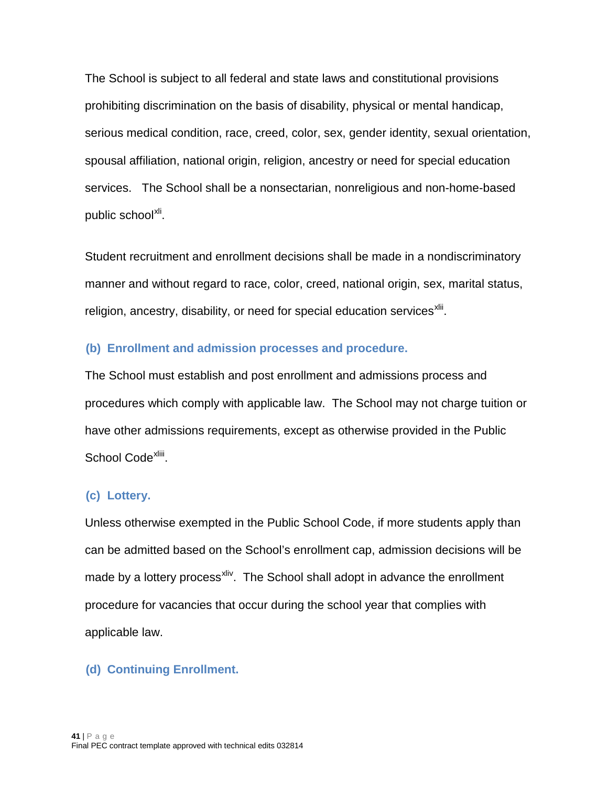The School is subject to all federal and state laws and constitutional provisions prohibiting discrimination on the basis of disability, physical or mental handicap, serious medical condition, race, creed, color, sex, gender identity, sexual orientation, spousal affiliation, national origin, religion, ancestry or need for special education services. The School shall be a nonsectarian, nonreligious and non-home-based public school<sup>[xli](#page-62-35)</sup>.

Student recruitment and enrollment decisions shall be made in a nondiscriminatory manner and without regard to race, color, creed, national origin, sex, marital status, religion, ancestry, disability, or need for special education services<sup>xlii</sup>.

#### <span id="page-40-0"></span>**(b) Enrollment and admission processes and procedure.**

The School must establish and post enrollment and admissions process and procedures which comply with applicable law. The School may not charge tuition or have other admissions requirements, except as otherwise provided in the Public School Code<sup>xliii</sup>[.](#page-62-37)

### <span id="page-40-1"></span>**(c) Lottery.**

Unless otherwise exempted in the Public School Code, if more students apply than can be admitted based on the School's enrollment cap, admission decisions will be made by a lottery process<sup>xliv</sup>. The School shall adopt in advance the enrollment procedure for vacancies that occur during the school year that complies with applicable law.

### <span id="page-40-2"></span>**(d) Continuing Enrollment.**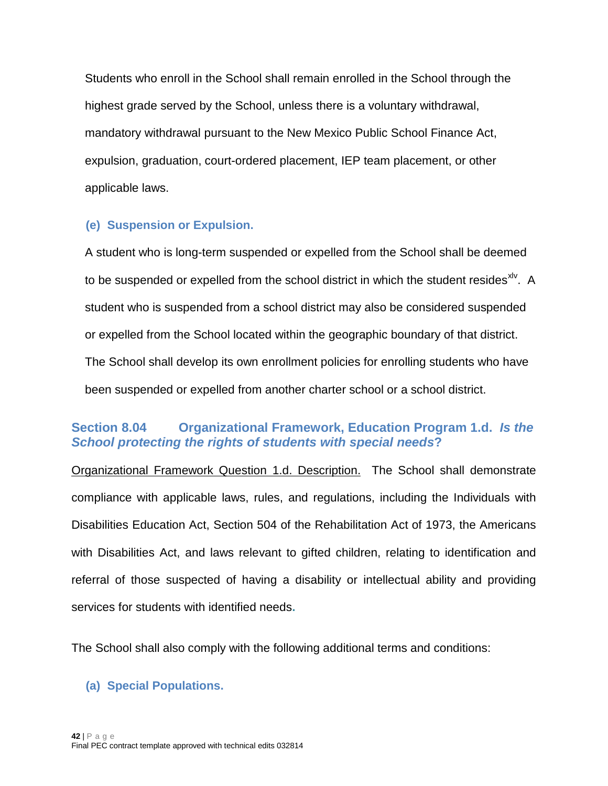Students who enroll in the School shall remain enrolled in the School through the highest grade served by the School, unless there is a voluntary withdrawal, mandatory withdrawal pursuant to the New Mexico Public School Finance Act, expulsion, graduation, court-ordered placement, IEP team placement, or other applicable laws.

### <span id="page-41-0"></span>**(e) Suspension or Expulsion.**

A student who is long-term suspended or expelled from the School shall be deemed to be suspended or expelled from the school district in which the student resides  $x^2$ . A student who is suspended from a school district may also be considered suspended or expelled from the School located within the geographic boundary of that district. The School shall develop its own enrollment policies for enrolling students who have been suspended or expelled from another charter school or a school district.

### <span id="page-41-1"></span>**Section 8.04 Organizational Framework, Education Program 1.d.** *Is the School protecting the rights of students with special needs***?**

Organizational Framework Question 1.d. Description. The School shall demonstrate compliance with applicable laws, rules, and regulations, including the Individuals with Disabilities Education Act, Section 504 of the Rehabilitation Act of 1973, the Americans with Disabilities Act, and laws relevant to gifted children, relating to identification and referral of those suspected of having a disability or intellectual ability and providing services for students with identified needs**.**

The School shall also comply with the following additional terms and conditions:

### <span id="page-41-2"></span>**(a) Special Populations.**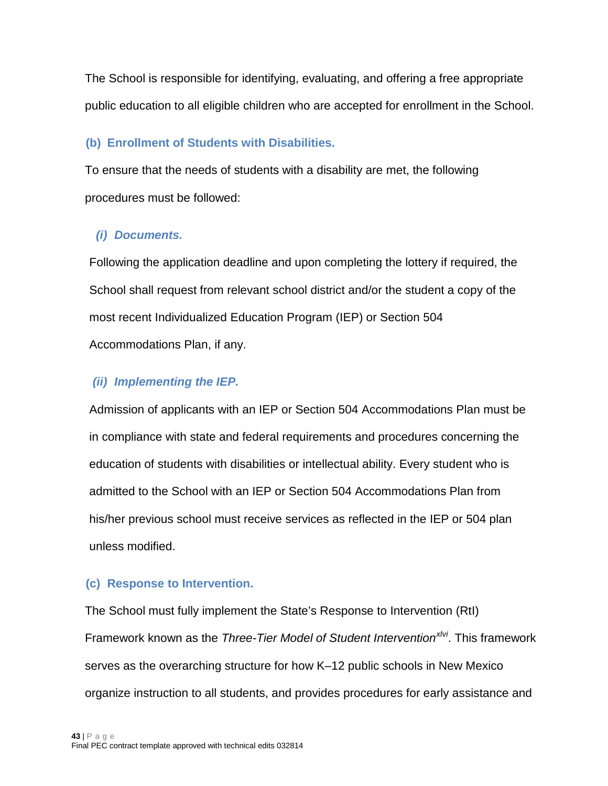The School is responsible for identifying, evaluating, and offering a free appropriate public education to all eligible children who are accepted for enrollment in the School.

### <span id="page-42-0"></span>**(b) Enrollment of Students with Disabilities.**

To ensure that the needs of students with a disability are met, the following procedures must be followed:

### *(i) Documents.*

Following the application deadline and upon completing the lottery if required, the School shall request from relevant school district and/or the student a copy of the most recent Individualized Education Program (IEP) or Section 504 Accommodations Plan, if any.

### *(ii) Implementing the IEP.*

Admission of applicants with an IEP or Section 504 Accommodations Plan must be in compliance with state and federal requirements and procedures concerning the education of students with disabilities or intellectual ability. Every student who is admitted to the School with an IEP or Section 504 Accommodations Plan from his/her previous school must receive services as reflected in the IEP or 504 plan unless modified.

### <span id="page-42-1"></span>**(c) Response to Intervention.**

The School must fully implement the State's Response to Intervention (RtI) Framework known as the *Three-Tier Model of Student Intervention[xlvi](#page-62-40)*. This framework serves as the overarching structure for how K–12 public schools in New Mexico organize instruction to all students, and provides procedures for early assistance and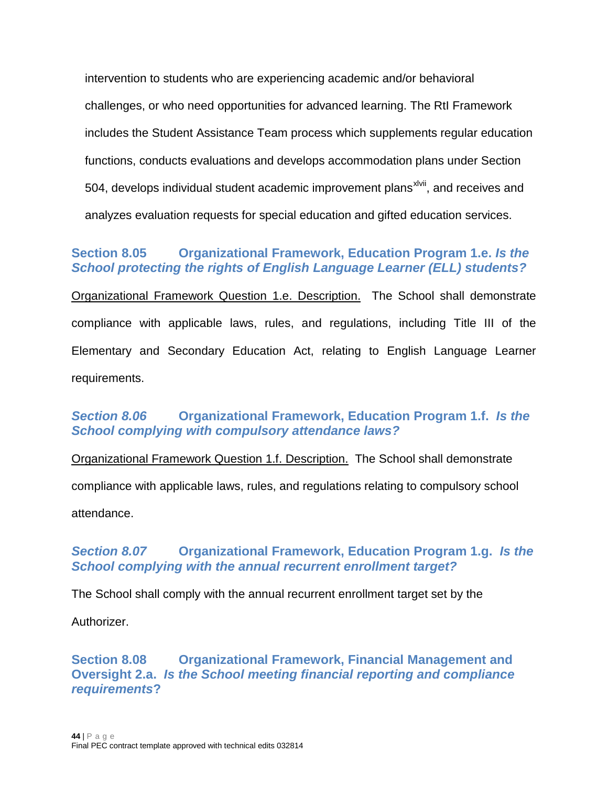intervention to students who are experiencing academic and/or behavioral challenges, or who need opportunities for advanced learning. The RtI Framework includes the Student Assistance Team process which supplements regular education functions, conducts evaluations and develops accommodation plans under Section 504, develops individual student academic improvement plans<sup>xivii</sup>, and receives and analyzes evaluation requests for special education and gifted education services.

### <span id="page-43-0"></span>**Section 8.05 Organizational Framework, Education Program 1.e.** *Is the School protecting the rights of English Language Learner (ELL) students?*

Organizational Framework Question 1.e. Description. The School shall demonstrate compliance with applicable laws, rules, and regulations, including Title III of the Elementary and Secondary Education Act, relating to English Language Learner requirements.

# <span id="page-43-1"></span>*Section 8.06* **Organizational Framework, Education Program 1.f.** *Is the School complying with compulsory attendance laws?*

Organizational Framework Question 1.f. Description. The School shall demonstrate compliance with applicable laws, rules, and regulations relating to compulsory school attendance.

# <span id="page-43-2"></span>*Section 8.07* **Organizational Framework, Education Program 1.g.** *Is the School complying with the annual recurrent enrollment target?*

The School shall comply with the annual recurrent enrollment target set by the

Authorizer.

<span id="page-43-3"></span>**Section 8.08 Organizational Framework, Financial Management and Oversight 2.a.** *Is the School meeting financial reporting and compliance requirements***?**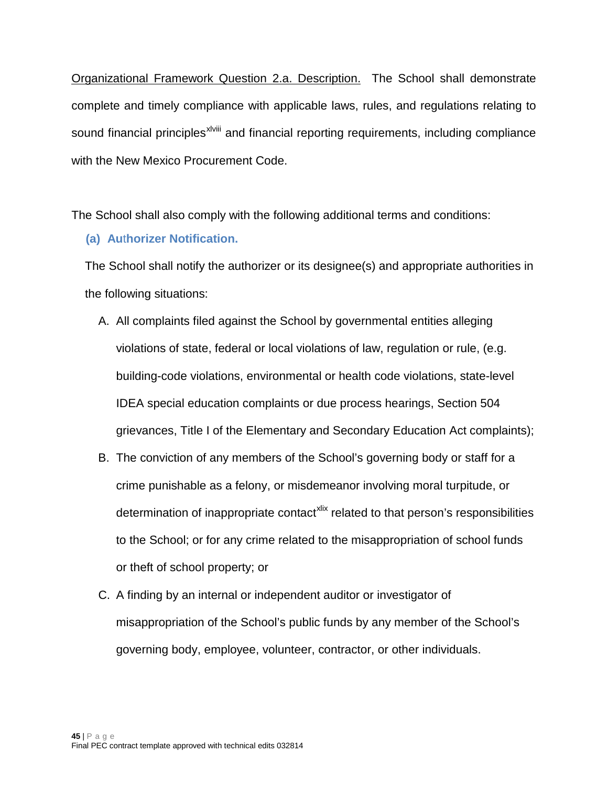sound financial principles<sup>xiviii</sup> and financial reporting requirements, including compliance Organizational Framework Question 2.a. Description. The School shall demonstrate complete and timely compliance with applicable laws, rules, and regulations relating to with the New Mexico Procurement Code.

<span id="page-44-0"></span>The School shall also comply with the following additional terms and conditions:

### **(a) Au**t**horizer Notification.**

The School shall notify the authorizer or its designee(s) and appropriate authorities in the following situations:

- A. All complaints filed against the School by governmental entities alleging violations of state, federal or local violations of law, regulation or rule, (e.g. building-code violations, environmental or health code violations, state-level IDEA special education complaints or due process hearings, Section 504 grievances, Title I of the Elementary and Secondary Education Act complaints);
- B. The conviction of any members of the School's governing body or staff for a crime punishable as a felony, or misdemeanor involving moral turpitude, or determination of inappropriate contact<sup>[xlix](#page-62-41)</sup> related to that person's responsibilities to the School; or for any crime related to the misappropriation of school funds or theft of school property; or
- C. A finding by an internal or independent auditor or investigator of misappropriation of the School's public funds by any member of the School's governing body, employee, volunteer, contractor, or other individuals.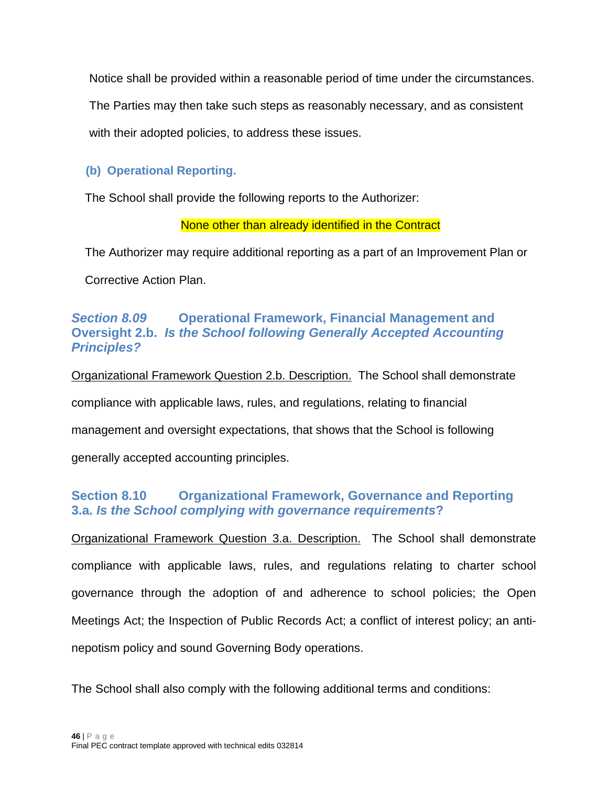Notice shall be provided within a reasonable period of time under the circumstances.

The Parties may then take such steps as reasonably necessary, and as consistent

with their adopted policies, to address these issues.

### <span id="page-45-0"></span>**(b) Operational Reporting.**

The School shall provide the following reports to the Authorizer:

None other than already identified in the Contract

The Authorizer may require additional reporting as a part of an Improvement Plan or

Corrective Action Plan.

# <span id="page-45-1"></span>*Section 8.09* **Operational Framework, Financial Management and Oversight 2.b.** *Is the School following Generally Accepted Accounting Principles?*

Organizational Framework Question 2.b. Description. The School shall demonstrate compliance with applicable laws, rules, and regulations, relating to financial management and oversight expectations, that shows that the School is following generally accepted accounting principles.

# <span id="page-45-2"></span>**Section 8.10 Organizational Framework, Governance and Reporting 3.a.** *Is the School complying with governance requirements***?**

Organizational Framework Question 3.a. Description. The School shall demonstrate compliance with applicable laws, rules, and regulations relating to charter school governance through the adoption of and adherence to school policies; the Open Meetings Act; the Inspection of Public Records Act; a conflict of interest policy; an antinepotism policy and sound Governing Body operations.

The School shall also comply with the following additional terms and conditions: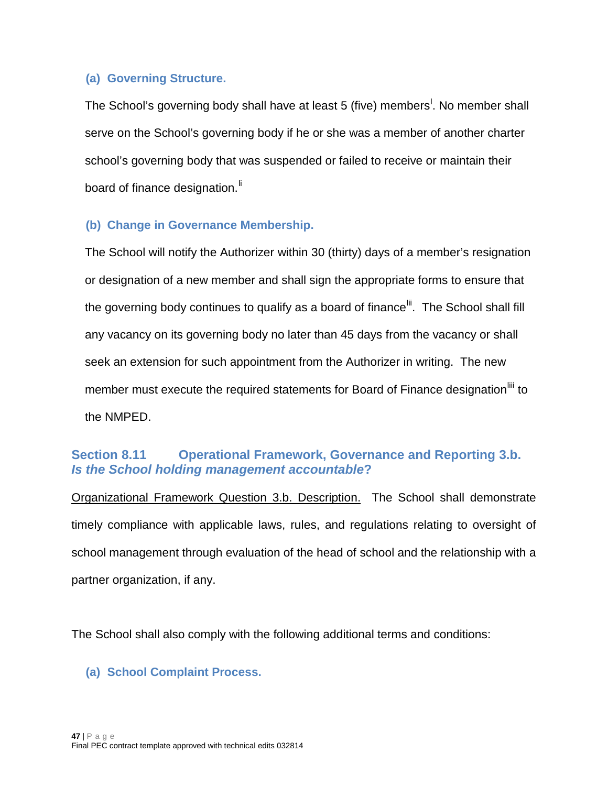### <span id="page-46-0"></span>**(a) Governing Structure.**

The Schoo[l](#page-62-42)'s governing body shall have at least 5 (five) members<sup>!</sup>. No member shall serve on the School's governing body if he or she was a member of another charter school's governing body that was suspended or failed to receive or maintain their board of finance designation.<sup>If</sup>

### <span id="page-46-1"></span>**(b) Change in Governance Membership.**

The School will notify the Authorizer within 30 (thirty) days of a member's resignation or designation of a new member and shall sign the appropriate forms to ensure that the governing body continues to qualify as a board of finance<sup>[lii](#page-62-44)</sup>. The School shall fill any vacancy on its governing body no later than 45 days from the vacancy or shall seek an extension for such appointment from the Authorizer in writing. The new member must execute the required statements for Board of Finance designation<sup>[liii](#page-62-45)</sup> to the NMPED.

### <span id="page-46-2"></span>**Section 8.11 Operational Framework, Governance and Reporting 3.b.**  *Is the School holding management accountable***?**

Organizational Framework Question 3.b. Description. The School shall demonstrate timely compliance with applicable laws, rules, and regulations relating to oversight of school management through evaluation of the head of school and the relationship with a partner organization, if any.

The School shall also comply with the following additional terms and conditions:

### <span id="page-46-3"></span>**(a) School Complaint Process.**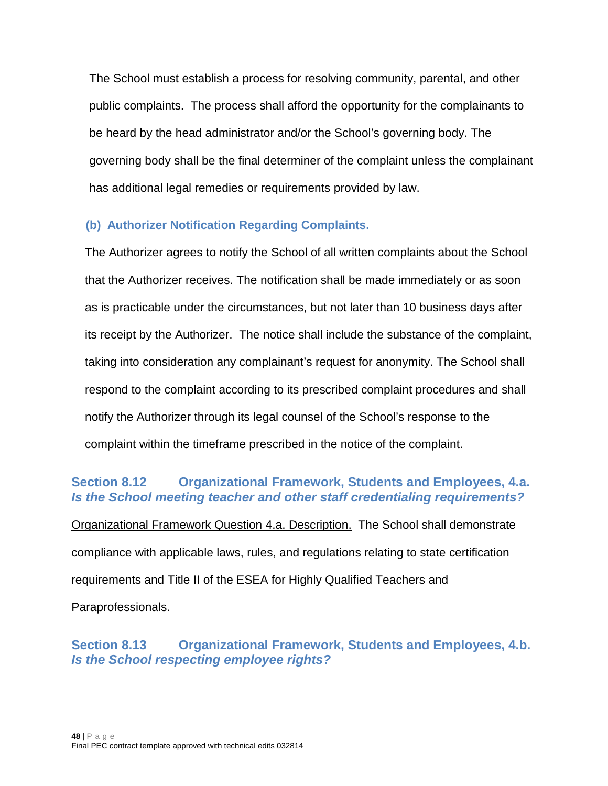The School must establish a process for resolving community, parental, and other public complaints. The process shall afford the opportunity for the complainants to be heard by the head administrator and/or the School's governing body. The governing body shall be the final determiner of the complaint unless the complainant has additional legal remedies or requirements provided by law.

# <span id="page-47-0"></span>**(b) Authorizer Notification Regarding Complaints.**

The Authorizer agrees to notify the School of all written complaints about the School that the Authorizer receives. The notification shall be made immediately or as soon as is practicable under the circumstances, but not later than 10 business days after its receipt by the Authorizer. The notice shall include the substance of the complaint, taking into consideration any complainant's request for anonymity. The School shall respond to the complaint according to its prescribed complaint procedures and shall notify the Authorizer through its legal counsel of the School's response to the complaint within the timeframe prescribed in the notice of the complaint.

### <span id="page-47-1"></span>**Section 8.12 Organizational Framework, Students and Employees, 4.a.**  *Is the School meeting teacher and other staff credentialing requirements?*

Organizational Framework Question 4.a. Description. The School shall demonstrate compliance with applicable laws, rules, and regulations relating to state certification requirements and Title II of the ESEA for Highly Qualified Teachers and Paraprofessionals.

# <span id="page-47-2"></span>**Section 8.13 Organizational Framework, Students and Employees, 4.b.**  *Is the School respecting employee rights?*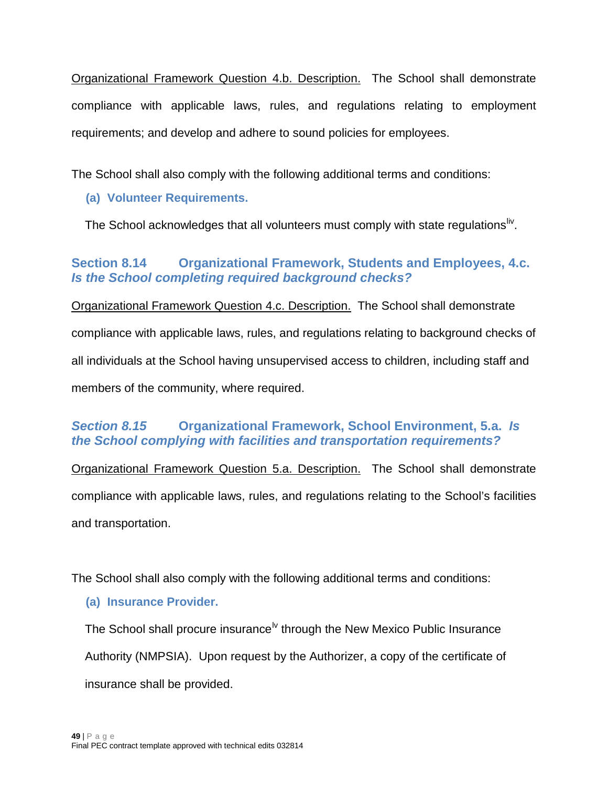Organizational Framework Question 4.b. Description. The School shall demonstrate compliance with applicable laws, rules, and regulations relating to employment requirements; and develop and adhere to sound policies for employees.

<span id="page-48-0"></span>The School shall also comply with the following additional terms and conditions:

# **(a) Volunteer Requirements.**

The School acknowledges that all volunteers must comply with state regulations<sup>liv</sup>.

# <span id="page-48-1"></span>**Section 8.14 Organizational Framework, Students and Employees, 4.c.**  *Is the School completing required background checks?*

Organizational Framework Question 4.c. Description. The School shall demonstrate compliance with applicable laws, rules, and regulations relating to background checks of all individuals at the School having unsupervised access to children, including staff and members of the community, where required.

# <span id="page-48-2"></span>*Section 8.15* **Organizational Framework, School Environment, 5.a.** *Is the School complying with facilities and transportation requirements?*

Organizational Framework Question 5.a. Description. The School shall demonstrate compliance with applicable laws, rules, and regulations relating to the School's facilities and transportation.

<span id="page-48-3"></span>The School shall also comply with the following additional terms and conditions:

# **(a) Insurance Provider.**

The School shall procure insurance<sup>[lv](#page-63-0)</sup> through the New Mexico Public Insurance Authority (NMPSIA). Upon request by the Authorizer, a copy of the certificate of insurance shall be provided.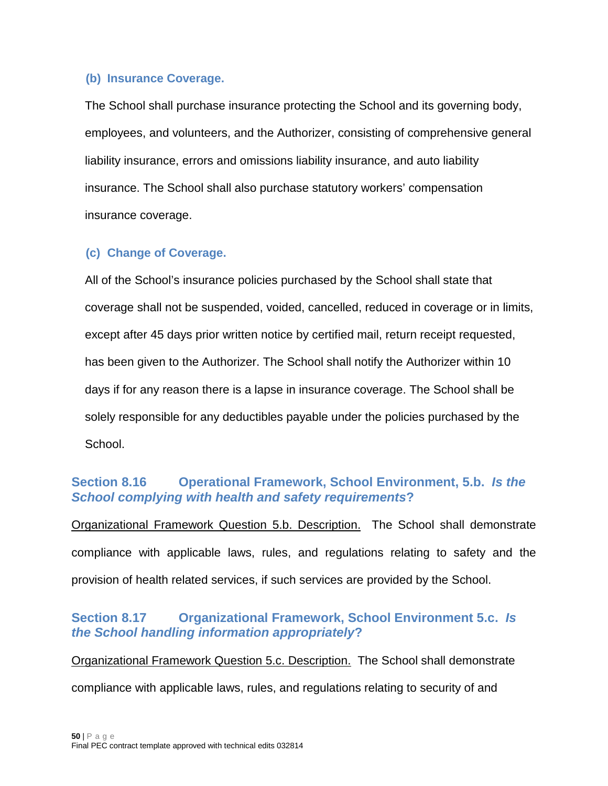### <span id="page-49-0"></span>**(b) Insurance Coverage.**

The School shall purchase insurance protecting the School and its governing body, employees, and volunteers, and the Authorizer, consisting of comprehensive general liability insurance, errors and omissions liability insurance, and auto liability insurance. The School shall also purchase statutory workers' compensation insurance coverage.

### <span id="page-49-1"></span>**(c) Change of Coverage.**

All of the School's insurance policies purchased by the School shall state that coverage shall not be suspended, voided, cancelled, reduced in coverage or in limits, except after 45 days prior written notice by certified mail, return receipt requested, has been given to the Authorizer. The School shall notify the Authorizer within 10 days if for any reason there is a lapse in insurance coverage. The School shall be solely responsible for any deductibles payable under the policies purchased by the School.

# <span id="page-49-2"></span>**Section 8.16 Operational Framework, School Environment, 5.b.** *Is the School complying with health and safety requirements***?**

Organizational Framework Question 5.b. Description. The School shall demonstrate compliance with applicable laws, rules, and regulations relating to safety and the provision of health related services, if such services are provided by the School.

# <span id="page-49-3"></span>**Section 8.17 Organizational Framework, School Environment 5.c.** *Is the School handling information appropriately***?**

Organizational Framework Question 5.c. Description. The School shall demonstrate compliance with applicable laws, rules, and regulations relating to security of and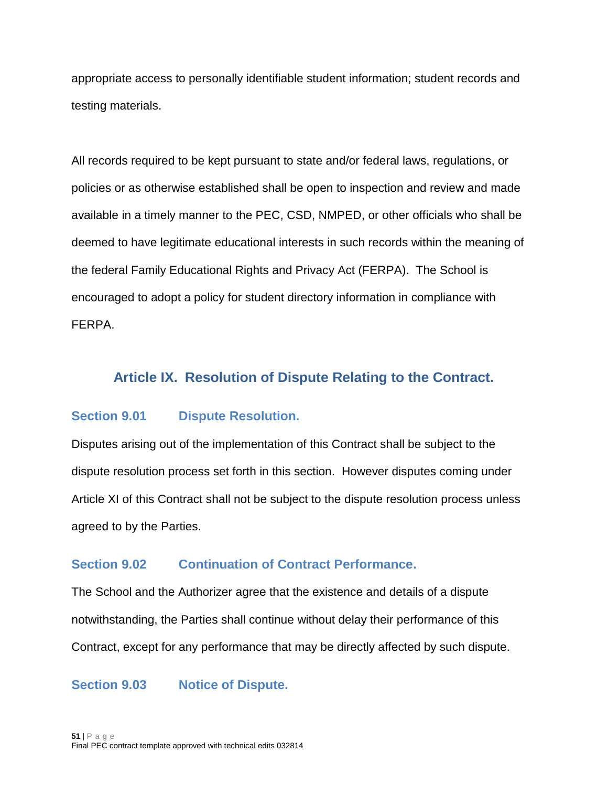appropriate access to personally identifiable student information; student records and testing materials.

All records required to be kept pursuant to state and/or federal laws, regulations, or policies or as otherwise established shall be open to inspection and review and made available in a timely manner to the PEC, CSD, NMPED, or other officials who shall be deemed to have legitimate educational interests in such records within the meaning of the federal Family Educational Rights and Privacy Act (FERPA). The School is encouraged to adopt a policy for student directory information in compliance with FERPA.

### <span id="page-50-0"></span>**Article IX. Resolution of Dispute Relating to the Contract.**

### <span id="page-50-1"></span>**Section 9.01 Dispute Resolution.**

Disputes arising out of the implementation of this Contract shall be subject to the dispute resolution process set forth in this section. However disputes coming under Article XI of this Contract shall not be subject to the dispute resolution process unless agreed to by the Parties.

### <span id="page-50-2"></span>**Section 9.02 Continuation of Contract Performance.**

The School and the Authorizer agree that the existence and details of a dispute notwithstanding, the Parties shall continue without delay their performance of this Contract, except for any performance that may be directly affected by such dispute.

#### <span id="page-50-3"></span>**Section 9.03 Notice of Dispute.**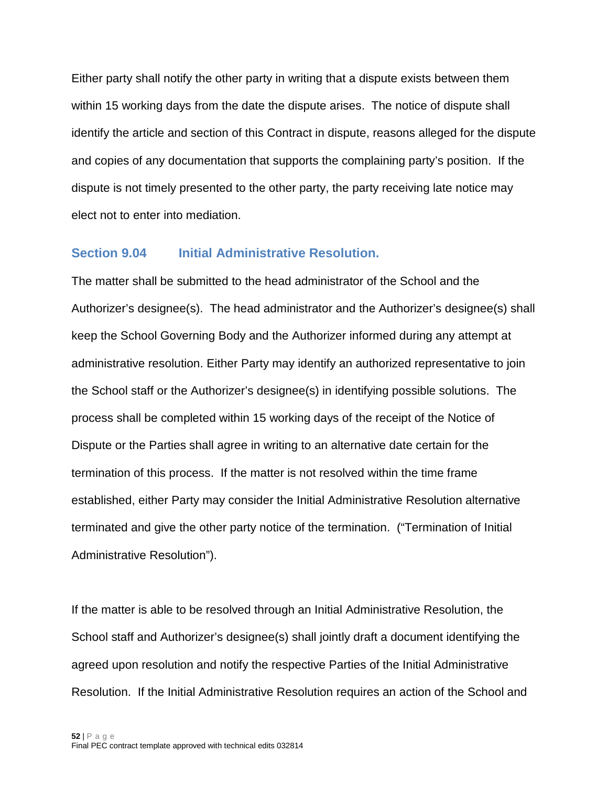Either party shall notify the other party in writing that a dispute exists between them within 15 working days from the date the dispute arises. The notice of dispute shall identify the article and section of this Contract in dispute, reasons alleged for the dispute and copies of any documentation that supports the complaining party's position. If the dispute is not timely presented to the other party, the party receiving late notice may elect not to enter into mediation.

#### <span id="page-51-0"></span>**Section 9.04 Initial Administrative Resolution.**

The matter shall be submitted to the head administrator of the School and the Authorizer's designee(s). The head administrator and the Authorizer's designee(s) shall keep the School Governing Body and the Authorizer informed during any attempt at administrative resolution. Either Party may identify an authorized representative to join the School staff or the Authorizer's designee(s) in identifying possible solutions. The process shall be completed within 15 working days of the receipt of the Notice of Dispute or the Parties shall agree in writing to an alternative date certain for the termination of this process. If the matter is not resolved within the time frame established, either Party may consider the Initial Administrative Resolution alternative terminated and give the other party notice of the termination. ("Termination of Initial Administrative Resolution").

If the matter is able to be resolved through an Initial Administrative Resolution, the School staff and Authorizer's designee(s) shall jointly draft a document identifying the agreed upon resolution and notify the respective Parties of the Initial Administrative Resolution. If the Initial Administrative Resolution requires an action of the School and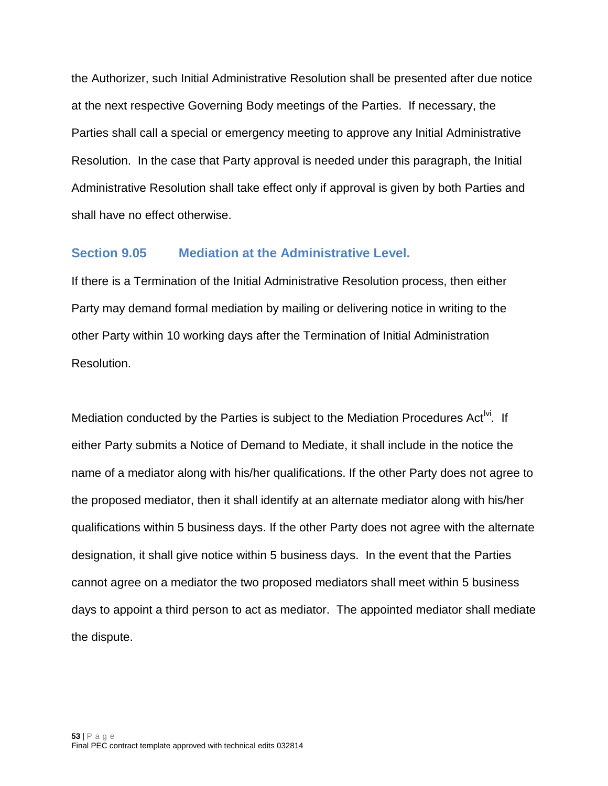the Authorizer, such Initial Administrative Resolution shall be presented after due notice at the next respective Governing Body meetings of the Parties. If necessary, the Parties shall call a special or emergency meeting to approve any Initial Administrative Resolution. In the case that Party approval is needed under this paragraph, the Initial Administrative Resolution shall take effect only if approval is given by both Parties and shall have no effect otherwise.

#### <span id="page-52-0"></span>**Section 9.05 Mediation at the Administrative Level.**

If there is a Termination of the Initial Administrative Resolution process, then either Party may demand formal mediation by mailing or delivering notice in writing to the other Party within 10 working days after the Termination of Initial Administration Resolution.

Mediation conducted by the Parties is subject to the Mediation Procedures Act<sup>IV</sup>. If either Party submits a Notice of Demand to Mediate, it shall include in the notice the name of a mediator along with his/her qualifications. If the other Party does not agree to the proposed mediator, then it shall identify at an alternate mediator along with his/her qualifications within 5 business days. If the other Party does not agree with the alternate designation, it shall give notice within 5 business days. In the event that the Parties cannot agree on a mediator the two proposed mediators shall meet within 5 business days to appoint a third person to act as mediator. The appointed mediator shall mediate the dispute.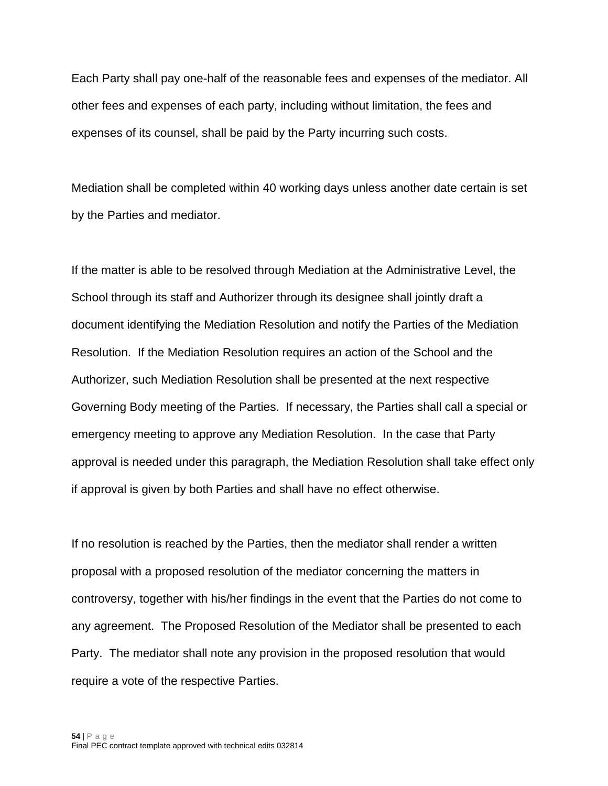Each Party shall pay one-half of the reasonable fees and expenses of the mediator. All other fees and expenses of each party, including without limitation, the fees and expenses of its counsel, shall be paid by the Party incurring such costs.

Mediation shall be completed within 40 working days unless another date certain is set by the Parties and mediator.

If the matter is able to be resolved through Mediation at the Administrative Level, the School through its staff and Authorizer through its designee shall jointly draft a document identifying the Mediation Resolution and notify the Parties of the Mediation Resolution. If the Mediation Resolution requires an action of the School and the Authorizer, such Mediation Resolution shall be presented at the next respective Governing Body meeting of the Parties. If necessary, the Parties shall call a special or emergency meeting to approve any Mediation Resolution. In the case that Party approval is needed under this paragraph, the Mediation Resolution shall take effect only if approval is given by both Parties and shall have no effect otherwise.

If no resolution is reached by the Parties, then the mediator shall render a written proposal with a proposed resolution of the mediator concerning the matters in controversy, together with his/her findings in the event that the Parties do not come to any agreement. The Proposed Resolution of the Mediator shall be presented to each Party. The mediator shall note any provision in the proposed resolution that would require a vote of the respective Parties.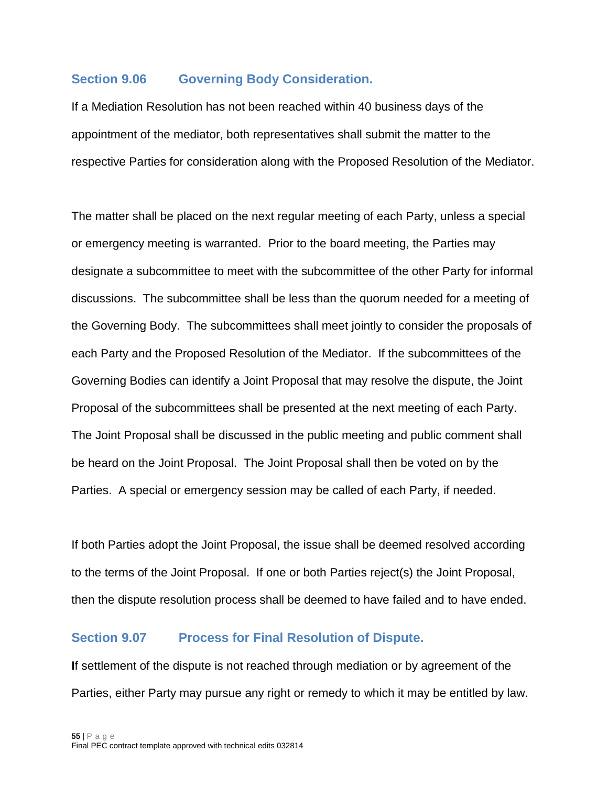### <span id="page-54-0"></span>**Section 9.06 Governing Body Consideration.**

If a Mediation Resolution has not been reached within 40 business days of the appointment of the mediator, both representatives shall submit the matter to the respective Parties for consideration along with the Proposed Resolution of the Mediator.

The matter shall be placed on the next regular meeting of each Party, unless a special or emergency meeting is warranted. Prior to the board meeting, the Parties may designate a subcommittee to meet with the subcommittee of the other Party for informal discussions. The subcommittee shall be less than the quorum needed for a meeting of the Governing Body. The subcommittees shall meet jointly to consider the proposals of each Party and the Proposed Resolution of the Mediator. If the subcommittees of the Governing Bodies can identify a Joint Proposal that may resolve the dispute, the Joint Proposal of the subcommittees shall be presented at the next meeting of each Party. The Joint Proposal shall be discussed in the public meeting and public comment shall be heard on the Joint Proposal. The Joint Proposal shall then be voted on by the Parties. A special or emergency session may be called of each Party, if needed.

If both Parties adopt the Joint Proposal, the issue shall be deemed resolved according to the terms of the Joint Proposal. If one or both Parties reject(s) the Joint Proposal, then the dispute resolution process shall be deemed to have failed and to have ended.

### <span id="page-54-1"></span>**Section 9.07 Process for Final Resolution of Dispute.**

**I**f settlement of the dispute is not reached through mediation or by agreement of the Parties, either Party may pursue any right or remedy to which it may be entitled by law.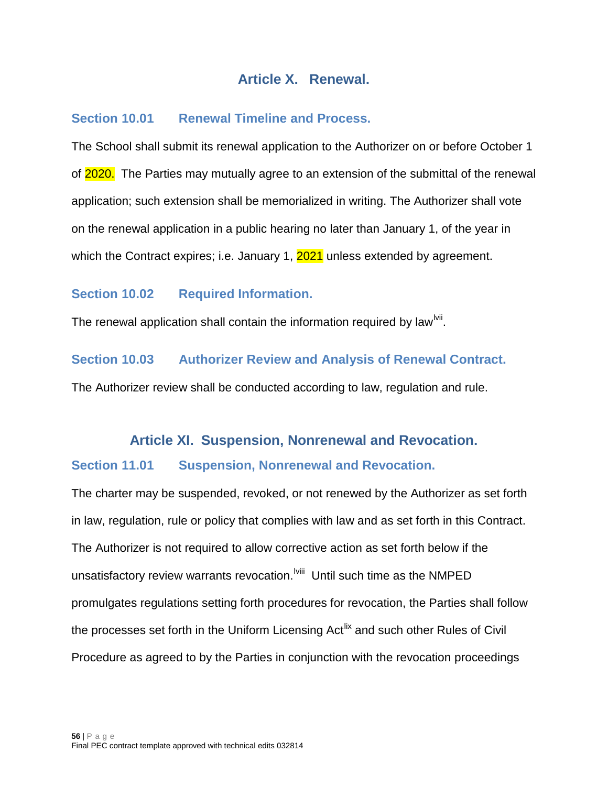# **Article X. Renewal.**

### <span id="page-55-1"></span><span id="page-55-0"></span>**Section 10.01 Renewal Timeline and Process.**

The School shall submit its renewal application to the Authorizer on or before October 1 of 2020. The Parties may mutually agree to an extension of the submittal of the renewal application; such extension shall be memorialized in writing. The Authorizer shall vote on the renewal application in a public hearing no later than January 1, of the year in which the Contract expires; i.e. January 1, 2021 unless extended by agreement.

### <span id="page-55-2"></span>**Section 10.02 Required Information.**

The renewal application shall contain the information required by law<sup> $w$ m</sup>.

### <span id="page-55-3"></span>**Section 10.03 Authorizer Review and Analysis of Renewal Contract.**

<span id="page-55-4"></span>The Authorizer review shall be conducted according to law, regulation and rule.

# **Article XI. Suspension, Nonrenewal and Revocation.**

### <span id="page-55-5"></span>**Section 11.01 Suspension, Nonrenewal and Revocation.**

The charter may be suspended, revoked, or not renewed by the Authorizer as set forth in law, regulation, rule or policy that complies with law and as set forth in this Contract. The Authorizer is not required to allow corrective action as set forth below if the unsatisfactory review warrants revocation.<sup>Iviii</sup> Until such time as the NMPED promulgates regulations setting forth procedures for revocation, the Parties shall follow the processes set forth in the Uniform Licensing Act<sup>[lix](#page-63-4)</sup> and such other Rules of Civil Procedure as agreed to by the Parties in conjunction with the revocation proceedings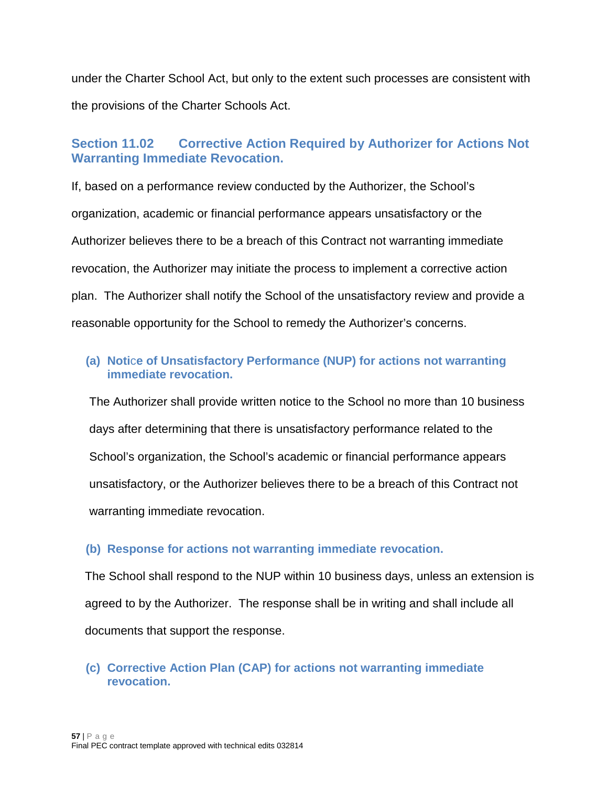under the Charter School Act, but only to the extent such processes are consistent with the provisions of the Charter Schools Act.

### <span id="page-56-0"></span>**Section 11.02 Corrective Action Required by Authorizer for Actions Not Warranting Immediate Revocation.**

If, based on a performance review conducted by the Authorizer, the School's organization, academic or financial performance appears unsatisfactory or the Authorizer believes there to be a breach of this Contract not warranting immediate revocation, the Authorizer may initiate the process to implement a corrective action plan. The Authorizer shall notify the School of the unsatisfactory review and provide a reasonable opportunity for the School to remedy the Authorizer's concerns.

### <span id="page-56-1"></span>**(a) Noti**c**e of Unsatisfactory Performance (NUP) for actions not warranting immediate revocation.**

The Authorizer shall provide written notice to the School no more than 10 business days after determining that there is unsatisfactory performance related to the School's organization, the School's academic or financial performance appears unsatisfactory, or the Authorizer believes there to be a breach of this Contract not warranting immediate revocation.

### <span id="page-56-2"></span>**(b) Response for actions not warranting immediate revocation.**

The School shall respond to the NUP within 10 business days, unless an extension is agreed to by the Authorizer. The response shall be in writing and shall include all documents that support the response.

### <span id="page-56-3"></span>**(c) Corrective Action Plan (CAP) for actions not warranting immediate revocation.**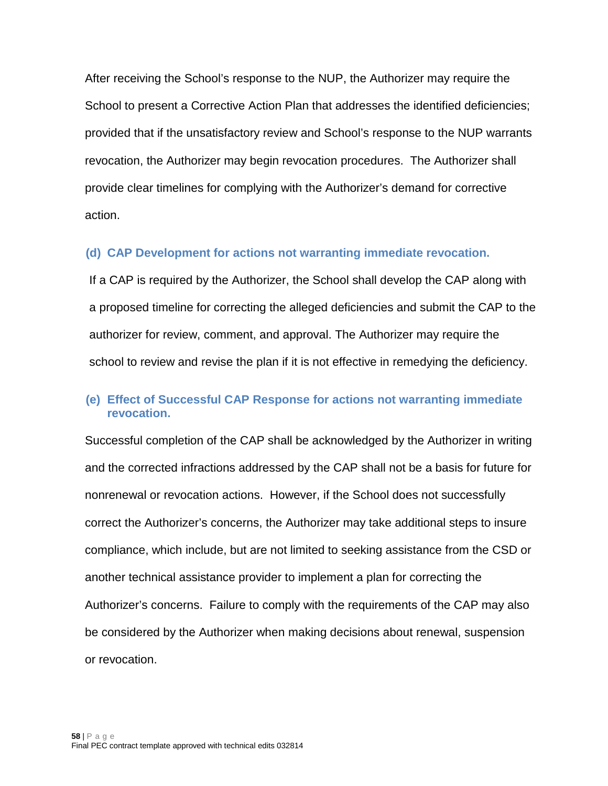After receiving the School's response to the NUP, the Authorizer may require the School to present a Corrective Action Plan that addresses the identified deficiencies; provided that if the unsatisfactory review and School's response to the NUP warrants revocation, the Authorizer may begin revocation procedures. The Authorizer shall provide clear timelines for complying with the Authorizer's demand for corrective action.

#### <span id="page-57-0"></span>**(d) CAP Development for actions not warranting immediate revocation.**

If a CAP is required by the Authorizer, the School shall develop the CAP along with a proposed timeline for correcting the alleged deficiencies and submit the CAP to the authorizer for review, comment, and approval. The Authorizer may require the school to review and revise the plan if it is not effective in remedying the deficiency.

### <span id="page-57-1"></span>**(e) Effect of Successful CAP Response for actions not warranting immediate revocation.**

Successful completion of the CAP shall be acknowledged by the Authorizer in writing and the corrected infractions addressed by the CAP shall not be a basis for future for nonrenewal or revocation actions. However, if the School does not successfully correct the Authorizer's concerns, the Authorizer may take additional steps to insure compliance, which include, but are not limited to seeking assistance from the CSD or another technical assistance provider to implement a plan for correcting the Authorizer's concerns. Failure to comply with the requirements of the CAP may also be considered by the Authorizer when making decisions about renewal, suspension or revocation.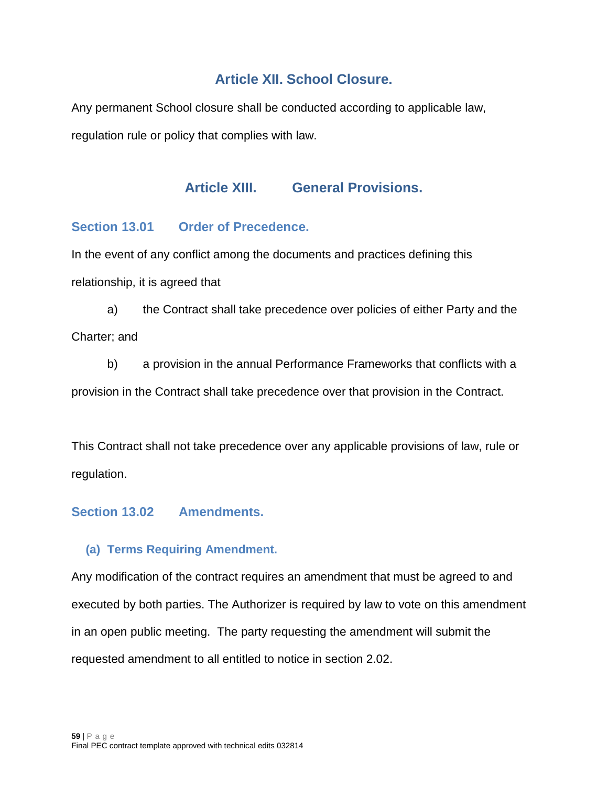# **Article XII. School Closure.**

<span id="page-58-1"></span><span id="page-58-0"></span>Any permanent School closure shall be conducted according to applicable law, regulation rule or policy that complies with law.

# **Article XIII. General Provisions.**

# <span id="page-58-2"></span>**Section 13.01 Order of Precedence.**

In the event of any conflict among the documents and practices defining this relationship, it is agreed that

a) the Contract shall take precedence over policies of either Party and the Charter; and

b) a provision in the annual Performance Frameworks that conflicts with a provision in the Contract shall take precedence over that provision in the Contract.

This Contract shall not take precedence over any applicable provisions of law, rule or regulation.

# <span id="page-58-3"></span>**Section 13.02 Amendments.**

### <span id="page-58-4"></span>**(a) Terms Requiring Amendment.**

Any modification of the contract requires an amendment that must be agreed to and executed by both parties. The Authorizer is required by law to vote on this amendment in an open public meeting. The party requesting the amendment will submit the requested amendment to all entitled to notice in section 2.02.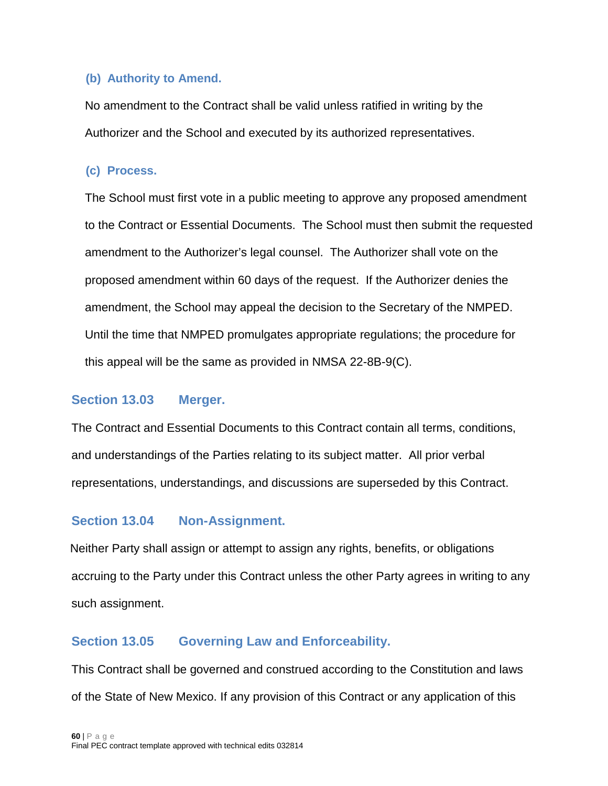### <span id="page-59-0"></span>**(b) Authority to Amend.**

No amendment to the Contract shall be valid unless ratified in writing by the Authorizer and the School and executed by its authorized representatives.

### <span id="page-59-1"></span>**(c) Process.**

The School must first vote in a public meeting to approve any proposed amendment to the Contract or Essential Documents. The School must then submit the requested amendment to the Authorizer's legal counsel. The Authorizer shall vote on the proposed amendment within 60 days of the request. If the Authorizer denies the amendment, the School may appeal the decision to the Secretary of the NMPED. Until the time that NMPED promulgates appropriate regulations; the procedure for this appeal will be the same as provided in NMSA 22-8B-9(C).

### <span id="page-59-2"></span>**Section 13.03 Merger.**

The Contract and Essential Documents to this Contract contain all terms, conditions, and understandings of the Parties relating to its subject matter. All prior verbal representations, understandings, and discussions are superseded by this Contract.

# <span id="page-59-3"></span>**Section 13.04 Non-Assignment.**

Neither Party shall assign or attempt to assign any rights, benefits, or obligations accruing to the Party under this Contract unless the other Party agrees in writing to any such assignment.

# <span id="page-59-4"></span>**Section 13.05 Governing Law and Enforceability.**

This Contract shall be governed and construed according to the Constitution and laws of the State of New Mexico. If any provision of this Contract or any application of this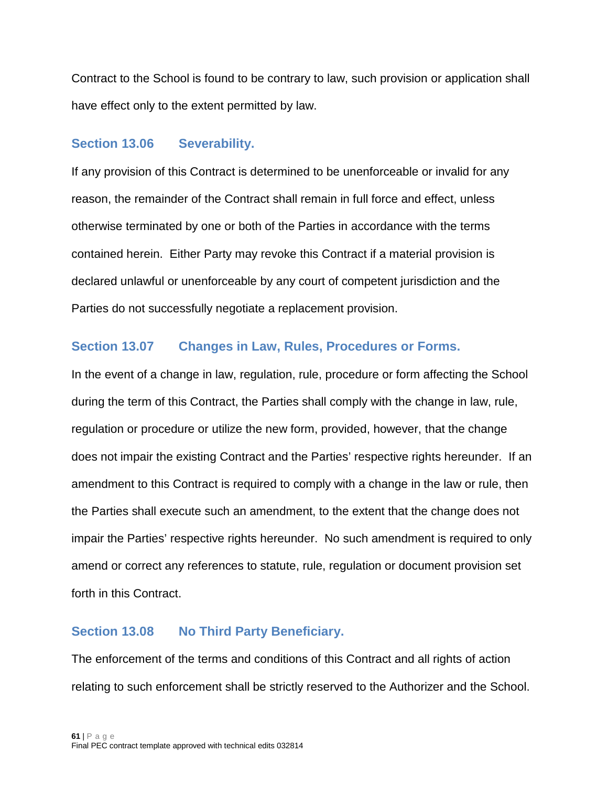Contract to the School is found to be contrary to law, such provision or application shall have effect only to the extent permitted by law.

#### <span id="page-60-0"></span>**Section 13.06 Severability.**

If any provision of this Contract is determined to be unenforceable or invalid for any reason, the remainder of the Contract shall remain in full force and effect, unless otherwise terminated by one or both of the Parties in accordance with the terms contained herein. Either Party may revoke this Contract if a material provision is declared unlawful or unenforceable by any court of competent jurisdiction and the Parties do not successfully negotiate a replacement provision.

### <span id="page-60-1"></span>**Section 13.07 Changes in Law, Rules, Procedures or Forms.**

In the event of a change in law, regulation, rule, procedure or form affecting the School during the term of this Contract, the Parties shall comply with the change in law, rule, regulation or procedure or utilize the new form, provided, however, that the change does not impair the existing Contract and the Parties' respective rights hereunder. If an amendment to this Contract is required to comply with a change in the law or rule, then the Parties shall execute such an amendment, to the extent that the change does not impair the Parties' respective rights hereunder. No such amendment is required to only amend or correct any references to statute, rule, regulation or document provision set forth in this Contract.

### <span id="page-60-2"></span>**Section 13.08 No Third Party Beneficiary.**

The enforcement of the terms and conditions of this Contract and all rights of action relating to such enforcement shall be strictly reserved to the Authorizer and the School.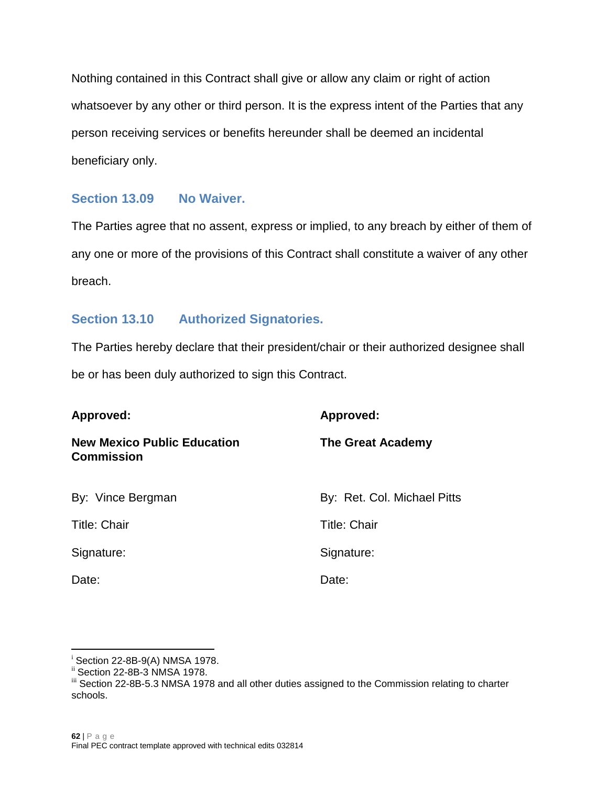Nothing contained in this Contract shall give or allow any claim or right of action whatsoever by any other or third person. It is the express intent of the Parties that any person receiving services or benefits hereunder shall be deemed an incidental beneficiary only.

### <span id="page-61-0"></span>**Section 13.09 No Waiver.**

The Parties agree that no assent, express or implied, to any breach by either of them of any one or more of the provisions of this Contract shall constitute a waiver of any other breach.

### <span id="page-61-1"></span>**Section 13.10 Authorized Signatories.**

The Parties hereby declare that their president/chair or their authorized designee shall be or has been duly authorized to sign this Contract.

| Approved:                                               | Approved:                   |  |  |
|---------------------------------------------------------|-----------------------------|--|--|
| <b>New Mexico Public Education</b><br><b>Commission</b> | The Great Academy           |  |  |
| By: Vince Bergman                                       | By: Ret. Col. Michael Pitts |  |  |
| <b>Title: Chair</b>                                     | <b>Title: Chair</b>         |  |  |
| Signature:                                              | Signature:                  |  |  |
| Date:                                                   | Date:                       |  |  |

i

<span id="page-61-4"></span>

<span id="page-61-3"></span><span id="page-61-2"></span><sup>&</sup>lt;sup>i</sup> Section 22-8B-9(A) NMSA 1978.<br><sup>ii</sup> Section 22-8B-3 NMSA 1978.<br><sup>iii</sup> Section 22-8B-5.3 NMSA 1978 and all other duties assigned to the Commission relating to charter schools.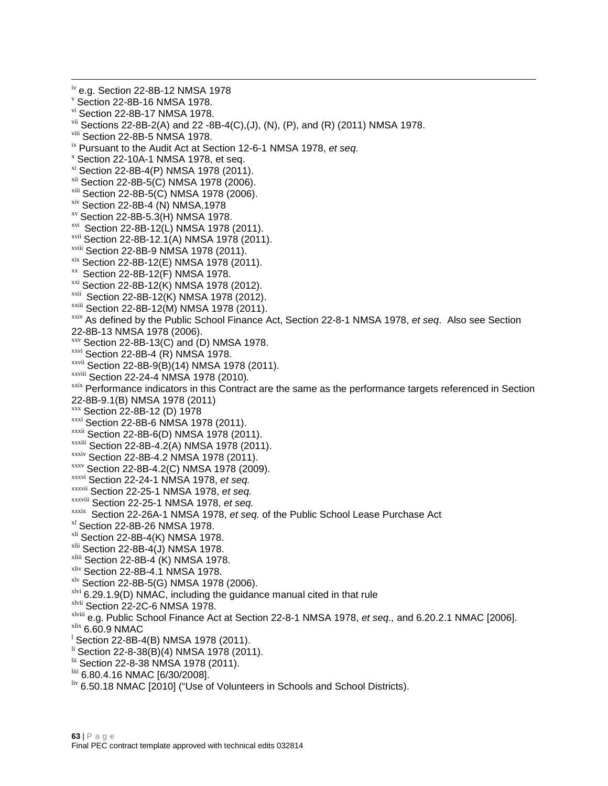<span id="page-62-46"></span><span id="page-62-45"></span><span id="page-62-44"></span><span id="page-62-43"></span><span id="page-62-42"></span><span id="page-62-41"></span><span id="page-62-40"></span><span id="page-62-39"></span><span id="page-62-38"></span><span id="page-62-37"></span><span id="page-62-36"></span><span id="page-62-35"></span><span id="page-62-34"></span><span id="page-62-33"></span><span id="page-62-32"></span><span id="page-62-31"></span><span id="page-62-30"></span><span id="page-62-29"></span><span id="page-62-28"></span><span id="page-62-27"></span><span id="page-62-26"></span><span id="page-62-25"></span><span id="page-62-24"></span><span id="page-62-23"></span><span id="page-62-22"></span><span id="page-62-21"></span><span id="page-62-20"></span><span id="page-62-19"></span><span id="page-62-18"></span><span id="page-62-17"></span><span id="page-62-16"></span><span id="page-62-15"></span><span id="page-62-14"></span><span id="page-62-13"></span><span id="page-62-12"></span><span id="page-62-11"></span><span id="page-62-10"></span><span id="page-62-9"></span><span id="page-62-8"></span><span id="page-62-7"></span><span id="page-62-6"></span><span id="page-62-5"></span><span id="page-62-4"></span><span id="page-62-3"></span><span id="page-62-2"></span><span id="page-62-1"></span><span id="page-62-0"></span><sup>iv</sup> e.g. Section 22-8B-12 NMSA 1978<br><sup>v</sup> Section 22-8B-16 NMSA 1978.<br><sup>vi</sup> Section 22-8B-17 NMSA 1978. <sup>vii</sup> Sections 22-8B-2(A) and 22 -8B-4(C),(J), (N), (P), and (R) (2011) NMSA 1978.<br><sup>viii</sup> Section 22-8B-5 NMSA 1978. <sup>ix</sup> Pursuant to the Audit Act at Section 12-6-1 NMSA 1978, *et seq.*<br>
<sup>x</sup> Section 22-10A-1 NMSA 1978, et seq.<br>
<sup>xi</sup> Section 22-8B-4(P) NMSA 1978 (2011).<br>
<sup>xii</sup> Section 22-8B-5(C) NMSA 1978 (2006).<br>
<sup>xiii</sup> Section 22-8B-5  $xv$  Section 22-8B-5.3(H) NMSA 1978.<br> $xvi$  Section 22-8B-12(L) NMSA 1978 (2011). <sup>xvii</sup> Section 22-8B-12.1(A) NMSA 1978 (2011).<br><sup>xviii</sup> Section 22-8B-9 NMSA 1978 (2011). <sup>xix</sup> Section 22-8B-12(E) NMSA 1978 (2011).<br><sup>xx</sup> Section 22-8B-12(F) NMSA 1978.<br><sup>xxi</sup> Section 22-8B-12(K) NMSA 1978 (2012).<br><sup>xxii</sup> Section 22-8B-12(K) NMSA 1978 (2012).<br><sup>xxiii</sup> Section 22-8B-12(M) NMSA 1978 (2011). xxiv As defined by the Public School Finance Act, Section 22-8-1 NMSA 1978, *et seq*. Also see Section 22-8B-13 NMSA 1978 (2006).<br>xxv Section 22-8B-13(C) and (D) NMSA 1978. xxvi Section 22-8B-4 (R) NMSA 1978. <sup>xxvii</sup> Section 22-8B-9(B)(14) NMSA 1978 (2011).<br><sup>xxviii</sup> Section 22-24-4 NMSA 1978 (2010). <sup>xxix</sup> Performance indicators in this Contract are the same as the performance targets referenced in Section 22-8B-9.1(B) NMSA 1978 (2011)<br>
<sup>XXX</sup> Section 22-8B-12 (D) 1978<br>
<sup>XXXI</sup> Section 22-8B-6 NMSA 1978 (2011).<br>
<sup>XXXII</sup> Section 22-8B-6(D) NMSA 1978 (2011).<br>
<sup>XXXII</sup> Section 22-8B-4.2(A) NMSA 1978 (2011).<br>
<sup>XXXIV</sup> Section 22-8B-<sup>xxxvi</sup> Section 22-24-1 NMSA 1978, *et seq.*<br><sup>xxxvii</sup> Section 22-25-1 NMSA 1978, *et seq.*<br><sup>xxxixii</sup> Section 22-25-1 NMSA 1978, *et seq.*<br><sup>xxxix</sup> Section 22-26A-1 NMSA 1978, *et seq.* of the Public School Lease Purchase Ac <sup>xlvi</sup> 6.29.1.9(D) NMAC, including the guidance manual cited in that rule<br><sup>xlvii</sup> Section 22-2C-6 NMSA 1978. <sup>xlviii</sup> e.g. Public School Finance Act at Section 22-8-1 NMSA 1978, *et seq.,* and 6.20.2.1 NMAC [2006].<br><sup>xlix</sup> 6.60.9 NMAC<br><sup>1</sup> Section 22-8B-4(B) NMSA 1978 (2011).  $\frac{\text{li}}{\text{li}}$  Section 22-8-38(B)(4) NMSA 1978 (2011).<br>  $\frac{\text{li}}{\text{li}}$  Section 22-8-38 NMSA 1978 (2011).<br>  $\frac{\text{li}}{\text{li}}$  6.80.4.16 NMAC [6/30/2008].<br>  $\frac{\text{li}}{\text{li}}$  6.50.18 NMAC [2010] ("Use of Volunteers in Schools and S